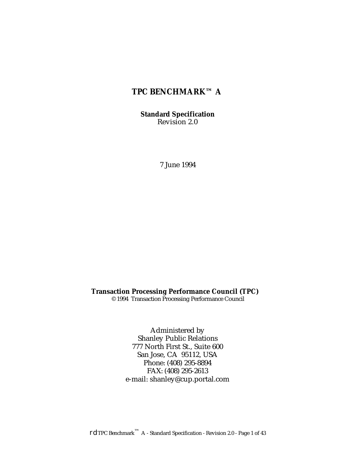## **TPC BENCHMARK™ A**

**Standard Specification**  $R^2$ 

7 June 1991

**Transaction Processing Performance Council (TPC)**

© 1994 Transaction Processing Performance Council

Administered by<br>Shanley Public Relations 777 North First St., Suite 600 San Jose, CA 95112, USA Phone: (408) 295-8894 FAX: (408) 295-2613  $\frac{1}{11}$  $\epsilon$ -mail:  $\epsilon$ hanley  $\epsilon$  cup.portan.com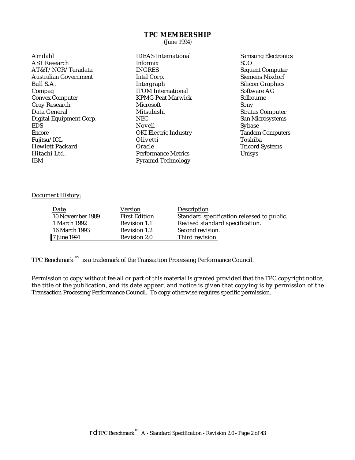# **TPC MEMBERSHIP**

 $(94.10 \t{1001})$ 

Amdahl **AST Research** AT&T/NCR/Teradata Australian Government Bull S.A. Compaq Convex Computer Cray Research Data General Data General<br>Digital Fauin Digital Equipment Corp. EDS<br>Encore Fuiitsu/ICL Hewlett Packard Hitachi Ltd. IBM  $\mathbf{I}_{\mathbf{B}}$ 

**IDEAS** International Informix **INGRES** Intel Corp. Intergraph ITOM International **KPMG Peat Marwick** Microsoft Mitsubishi NEC. Novell OKI Electric Industry Olivetti Oracle Performance Metrics Performance Metrics<br>Performid Tochnology Pyramid Technology

Samsung Electronics Sequent Computer Siemens Nixdorf Silicon Graphics Software AG Solbourne Sony Stratus Computer Sun Microsystems Sybase Tandem Computers Toshiba **Tricord Systems** Tricord Systems Unisys

#### Document History:

| Date             | <b>Version</b>       | Description                                |
|------------------|----------------------|--------------------------------------------|
| 10 November 1989 | <b>First Edition</b> | Standard specification released to public. |
| 1 March 1992     | Revision 1.1         | Revised standard specification.            |
| 16 March 1993    | Revision 1.2         | Second revision.                           |
| 7 June 1994      | Revision 2.0         | Third revision.                            |
|                  |                      |                                            |

TPC Benchmark<sup>™</sup> is a trademark of the Transaction Processing Performance Council.

Permission to copy without fee all or part of this material is granted provided that the TPC copyright notice, the title of the publication, and its date appear, and notice is given that copying is by permission of the the title of the publication, and its date appear, and notice is given that copying is by permission of the publication, and its date appear, and notice is given that copying is by permission. Transaction Processing Performance Council. To copy otherwise requires specific permission.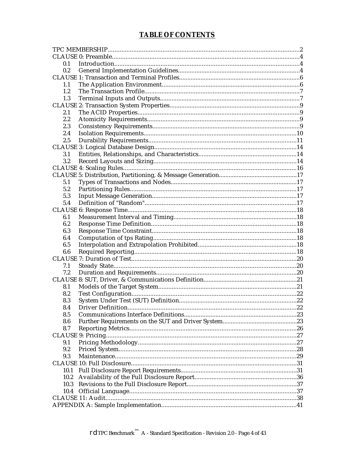## **TABLE OF CONTENTS**

| 0.1  |  |  |
|------|--|--|
| 0.2  |  |  |
|      |  |  |
| 1.1  |  |  |
| 1.2  |  |  |
| 1.3  |  |  |
|      |  |  |
| 2.1  |  |  |
| 2.2  |  |  |
| 2.3  |  |  |
| 2.4  |  |  |
|      |  |  |
| 2.5  |  |  |
|      |  |  |
| 3.1  |  |  |
| 3.2  |  |  |
|      |  |  |
|      |  |  |
| 5.1  |  |  |
| 5.2  |  |  |
| 5.3  |  |  |
| 5.4  |  |  |
|      |  |  |
| 6.1  |  |  |
| 6.2  |  |  |
| 6.3  |  |  |
| 6.4  |  |  |
| 6.5  |  |  |
| 6.6  |  |  |
|      |  |  |
| 7.1  |  |  |
| 7.2  |  |  |
|      |  |  |
| 8.1  |  |  |
| 8.2  |  |  |
| 8.3  |  |  |
| 8.4  |  |  |
| 8.5  |  |  |
| 8.6  |  |  |
| 8.7  |  |  |
|      |  |  |
| 9.1  |  |  |
| 9.2  |  |  |
| 9.3  |  |  |
|      |  |  |
| 10.1 |  |  |
| 10.2 |  |  |
| 10.3 |  |  |
| 10.4 |  |  |
|      |  |  |
|      |  |  |
|      |  |  |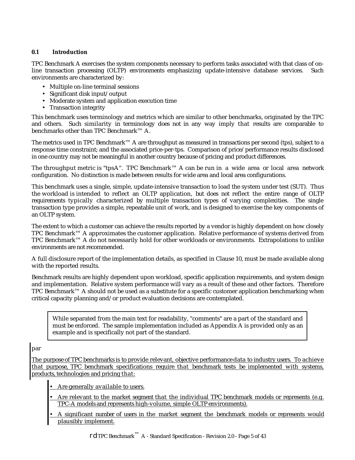#### **0.1 Introduction**

TPC Benchmark A exercises the system components necessary to perform tasks associated with that class of on-<br>line transaction processing (OLTP) environments emphasizing update-intensive database services. Such environments are characterized by:

- Multiple on-line terminal sessions
- Significant disk input/output
- Moderate system and application execution time
- Transaction integrity

This benchmark uses terminology and metrics which are similar to other benchmarks, originated by the TPC and others. Such similarity in terminology does not in any way imply that results are comparable to and others. Such similarity in terminology does not in any way imply that results are comparable to happing the state of  $\mathbb{R}^n$ benchmarks other than TPC Benchmark™ A.

The metrics used in TPC Benchmark<sup>™</sup> A are throughput as measured in transactions per second (tps), subject to a response time constraint; and the associated price-per-tps. Comparison of price/performance results disclose response time constraint; and the associated price-per-tps. Comparison of price per-tps. Comparison  $\alpha$ in one country may not be meaningful in another country because of pricing and product differences.

 $T_{\text{tot}}$  through  $\mu$  through metric is "through through the run in a wide area network". The run in a wide area network  $\mu$  and  $\mu$  and  $\mu$  are a network  $\mu$  and  $\mu$  are a network  $\mu$  and  $\mu$  are a network  $\mu$  a configuration. No distinction is made between results for wide area and local area configurations.

This benchmark uses a single, simple, update-intensive transaction to load the system under test (SUT). Thus the workload is intended to reflect an OLTP application, but does not reflect the entire range of OLTP requirements typically characterized by multiple transaction types of varying complexities. The single requirements typically characterized by multiple transaction types of varying components. The single  $\epsilon$  is the single  $\epsilon$  of varying components of  $\epsilon$  and  $\epsilon$  or  $\epsilon$  is the single  $\epsilon$  or  $\epsilon$  or  $\epsilon$  or  $\epsilon$  or  $\epsilon$ transaction type provides a simple, repeatable unit of work, and is designed to exercise the key components of an OLTP system.

The extent to which a customer can achieve the results reported by a vendor is highly dependent on how closely TPC Benchmark<sup>TM</sup> A approximates the customer application. Relative performance of systems derived from TPC Benchmark™ A do not necessarily hold for other workloads or environments. Extrapolations to unlike environments are not recommended. environments are not recommended.

A full disclosure report of the implementation details, as specified in Clause 10, must be made available along with the reported results.

Benchmark results are highly dependent upon workload, specific application requirements, and system design<br>and implementation. Relative system performance will vary as a result of these and other factors. Therefore TPC Benchmark<sup>TM</sup> A should not be used as a substitute for a specific customer application benchmarking when  $T^{\circ}$  Benchmark $T^{\circ}$  showled not be used as a substitute for a specific customer application benchmarking when critical capacity planning and/or product evaluation decisions are contemplated.

While separated from the main text for readability, "comments" are a part of the standard and must be enforced. The sample implementation included as Appendix A is provided only as an  $\mu$ ust be enforced. The sample implementation included as Appendix A is provided only as an example and is specifically not part of the standard.

par

 $T_{\rm tot}$  purpose of TPC benchmarks is to provide relevant, objective performance data to industry users. The second relevant of  $\mu$  and  $\mu$  and  $\mu$  and  $\mu$  and  $\mu$  and  $\mu$  and  $\mu$  and  $\mu$  and  $\mu$  and  $\mu$  and  $\mu$ that purpose, TPC benchmark specifications require that performant tests be implemented with systems, products, technologies and pricing that:

- Are generally available to users.<br>Are relevant to the market segment that the individual TPC benchmark models or represents (e.g. FDC A models and conceants high volume simula CITD environments) The A models and represents high-volume, simple OLTP environments).
- A significant number of users in the market segment the benchmark models or represents would plausibly implement.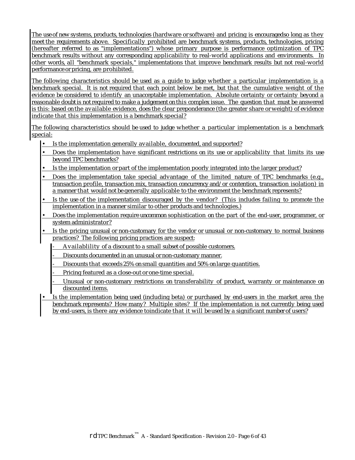The use of new systems, products, technologies (hardware or software) and pricing is encouragedso long as they<br>meet the requirements above. Specifically prohibited are benchmark systems, products, technologies, pricing (hereafter referred to as "implementations") whose primary purpose is performance optimization of TPC benchmark results without any corresponding applicability to real-world applications and environments. In other words, all "benchmark specials," implementations that improve benchmark results but not real-world other words, all "benchmark specials," implementations that improve benchmark results but not real-world performance or pricing, are prohibited.

The following characteristics should be used as a guide to judge whether a particular implementation is a<br>benchmark special. It is not required that each point below be met, but that the cumulative weight of the evidence be considered to identify an unacceptable implementation. Absolute certainty or certainty beyond a reasonable doubt is not required to make a judgement on this complex issue. The question that must be answered is this: based on the available evidence, does the clear preponderance (the greater share or weight) of evidence <u>is this this implementation</u> is a henchmerk energy description of the clear preparation of the implementation of  $\alpha$ indicate that this implemen tation is a benchmark special?

 The following characteristics should be used to judge whether a particular implementation is a benchmark special:<br>• Is the implementation generally available, documented, and supported?

- 
- Is the implementation generally available, documented, and supported?  $\frac{1}{\sqrt{2}}$  bound TDC honchmarks? beyond TPC benchmarks?<br>• Is the implementation or part of the implementation poorly integrated into the larger product?
- 
- Does the implementation take special advantage of the limited nature of TPC benchmarks (e.g., transaction profile, transaction mix, transaction concurrency and/or contention, transaction isolation) in a manner that would not be generally applicable to the environment the benchmark represents?
- Is the use of the implementation discouraged by the vendor? (This includes failing to promote the implementation in a manner similar to other products and technologies.) implementation in a manner similar to other products and technologies.)
- Does the implementation require uncommon sophistication on the part of the end-user, programmer, or system administrator?<br>Is the pricing unusual or non-customary for the vendor or unusual or non-customary to normal business
- practices? The following pricing practices are suspect:
	- Availablility of a discount to a small subset of possible customers.
	- Discounts documented in an unusual or non-customary manner.
	- Discounts that exceeds 25% on small quantities and 50% on large quantities.
	- Pricing featured as a close-out or one-time special.
	- Pricing featured as a close-out or one-time special. - Unusual or non-customary restrictions on transferability of product, warranty or maintenance on discounted items.<br>Is the implementation being used (including beta) or purchased by end-users in the market area the
- benchmark represents? How many? Multiple sites? If the implementation is not currently being used  $\frac{1}{\sqrt{1-\frac{1}{\sqrt{1-\frac{1}{\sqrt{1-\frac{1}{\sqrt{1-\frac{1}{\sqrt{1-\frac{1}{\sqrt{1-\frac{1}{\sqrt{1-\frac{1}{\sqrt{1-\frac{1}{\sqrt{1-\frac{1}{\sqrt{1-\frac{1}{\sqrt{1-\frac{1}{\sqrt{1-\frac{1}{\sqrt{1-\frac{1}{\sqrt{1-\frac{1}{\sqrt{1-\frac{1}{\sqrt{1-\frac{1}{\sqrt{1-\frac{1}{\sqrt{1-\frac{1}{\sqrt{1-\frac{1}{\sqrt{1-\frac{1}{\sqrt{1-\frac{1}{\sqrt{1-\frac{1}{\sqrt{1-\frac{1}{\sqrt{1-\frac{1$ by end-users, is there any evidence toindicate that it will be used by a significant number of users?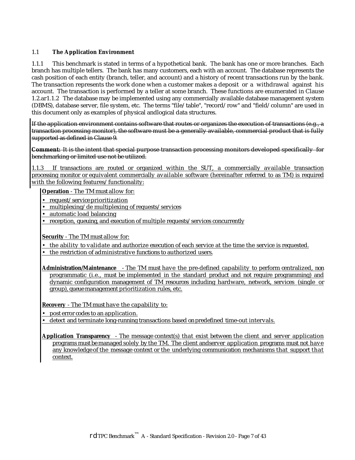#### 1.1 **The Application Environment**

1.1.1 This benchmark is stated in terms of a hypothetical bank. The bank has one or more branches. Each branch has multiple tellers. The bank has many customers, each with an account. The database represents the cash position of each entity (branch, teller, and account) and a history of recent transactions run by the bank. The transaction represents the work done when a customer makes a deposit or a withdrawal against his account. The transaction is performed by a teller at some branch. These functions are enumerated in Clause 1.2.ar1.1.2 The database may be implemented using any commercially available database management system (DBMS), database server, file system, etc. The terms "file/table", "record/row" and "field/column" are used in  $\langle D \rangle$ , database server, file system, etc. The terms "file",  $\langle D \rangle$  record/row" and "field/column "are used in this document only as examples of physical andlogical data structures.

If the approach of the application environment contains software that routes the execution of transaction of the execution of the execution of the execution of the execution of the execution of the execution of the execut transaction processing monitor), the software must be a generally available, commercial product that is fully supported as defined in Clause 9.

**Comment:** It is the intent that special purpose transaction processing monitors developed specifically for benchmarking or limited use not be utilized.

 1.1.3 If transactions are routed or organized within the SUT, a commercially available transaction processing monitor or equivalent commercial monitor or equivalent commercial commercial commercial commercial<br>in the following fortware (functionality with the following features/functionality:

**Operation** - The TM must allow for:<br>• request/service prioritization

- 
- multiplexing/de multiplexing of requests/services
- automatic load balancing
- **automatic load balancing** • reception, queuing, and execution of multiple requests/services concurrently

- **Security**  The TM must allow for:
- the ability to validate and authorize securities and authorized users of the restriction of edministrative functions to authorized users. • the restriction or administrative functions to authorized users.

**Administration/Maintenance** - The TM must have the pre-defined capability to perform centralized, non programmatic (i.e., must be implemented in the standard product and not require programming) and dynamic configuration management of TM resources including hardware, network, services (single or dynamic comparation management of TM resources including hardware, network, services (single or group), queue management prioritization rules, etc.

**Recovery** - The TM must have the capability to:<br>• post error codes to an application.

• **post error codes to an application**. • detect and terminate long-running transactions based on predefined time-out intervals.

 **Application Transparency** - The message context(s) that exist between the client and server application programs must be managed solely by the  $\frac{1}{2}$ . The  $\frac{1}{2}$  and  $\frac{1}{2}$  and  $\frac{1}{2}$  and  $\frac{1}{2}$  and  $\frac{1}{2}$  and  $\frac{1}{2}$  and  $\frac{1}{2}$  and  $\frac{1}{2}$  and  $\frac{1}{2}$  and  $\frac{1}{2}$  and  $\frac{1}{2}$  and  $\frac{1}{2}$  and any metamore of the message context or the underlying communication mechanisms that support that context.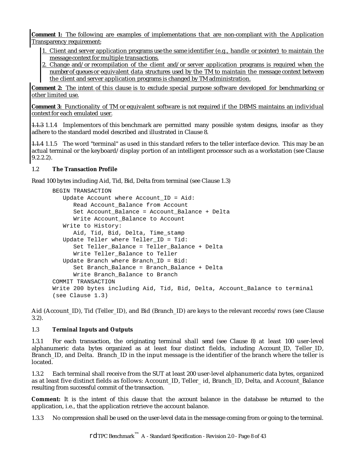**Comment 1:** The following are examples of implementations that are non-compliant with the Application Transparency requirement:<br>1. Client and server application programs use the same identifier (e.g., handle or pointer) to maintain the

- message context for multiple transactions.
- 2. Change and/or recompilation of the client and/or server application programs is required when the number of queues or equivalent data structures used by the TM to maintain the message context between the client and server application programs is changed by TM administration. the client and server application programs is changed by TM administration.

 **Comment 2:** The intent of this clause is to exclude special purpose software developed for benchmarking or other limited use.

 **Comment 3:** Functionality of TM or equivalent software is not required if the DBMS maintains an individual context for each emulated user.

1.1.3 1.1.4 Implementors of this benchmark are permitted many possible system designs, insofar as they adhere to the standard model described and illustrated in Clause 8. adhere to the standard model described and illustrated in Clause 8.

 $1.11$ . The word  $1.11$  terminal as used in this standard reference of an intelligent precessor such as a weekstation (see Clause actual terminal or the keyboard/display portion of an intelligent processor such as a workstation (see Clause<br>0.9.9.) 9.2.2.2).

#### 1.2 **The Transaction Profile**

Read 100 bytes including Aid, Tid, Bid, Delta from terminal (see Clause 1.3)

```
BEGIN TRANSACTION
   Update Account where Account_ID = Aid:
      Read Account_Balance from Account
      Set Account_Balance = Account_Balance + Delta
      Write Account_Balance to Account
   Write to History:
      Aid, Tid, Bid, Delta, Time_stamp
   Update Teller where Teller_ID = Tid:
      Set Teller_Balance = Teller_Balance + Delta
      Write Teller_Balance to Teller
   Update Branch where Branch_ID = Bid:
      Set Branch_Balance = Branch_Balance + Delta
      Write Branch_Balance to Branch
COMMIT TRANSACTION
Write 200 bytes including Aid, Tid, Bid, Delta, Account_Balance to terminal
(see Clause 1.3)
```
Aid (Account\_ID), Tid (Teller\_ID), and Bid (Branch\_ID) are keys to the relevant records/rows (see Clause 3.2).

#### 1.3 **Terminal Inputs and Outputs**

1.3.1 For each transaction, the originating terminal shall send (see Clause 8) at least 100 user-level alphanum eric data by the strained as at least four distinct fields, including  $\frac{1}{\sqrt{1-\frac{1}{\sqrt{1-\frac{1}{\sqrt{1-\frac{1}{\sqrt{1-\frac{1}{\sqrt{1-\frac{1}{\sqrt{1-\frac{1}{\sqrt{1-\frac{1}{\sqrt{1-\frac{1}{\sqrt{1-\frac{1}{\sqrt{1-\frac{1}{\sqrt{1-\frac{1}{\sqrt{1-\frac{1}{\sqrt{1-\frac{1}{\sqrt{1-\frac{1}{\sqrt{1-\frac{1}{\$ Branch\_ID, and Delta. Branch\_ID in the input message is the identifier of the branch where the teller is located.

1.3.2 Each terminal shall receive from the SUT at least 200 user-level alphanumeric data bytes, organized as at least five distinct fields as follows:  $\alpha$  is  $\alpha$  in  $\alpha$  in  $\alpha$  in  $\alpha$  in  $\alpha$  is  $\alpha$  in  $\alpha$  is  $\alpha$  in  $\alpha$  is  $\alpha$  in  $\alpha$  is  $\alpha$  is  $\alpha$  is  $\alpha$  is  $\alpha$  is  $\alpha$  is  $\alpha$  is  $\alpha$  is  $\alpha$  is  $\alpha$  is  $\alpha$  is resulting from successful commit of the transaction.

**Comment:** It is the intent of this clause that the account balance in the database be returned to the application, i.e., that the application retrieve the account balance.

1.3.3 No compression shall be used on the user-level data in the message coming from or going to the terminal.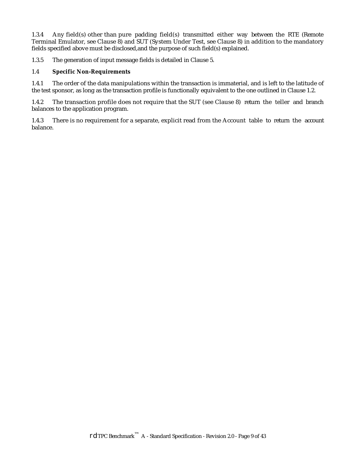1.3.4 Any field(s) other than pure padding field(s) transmitted either way between the RTE (Remote  $T_{\text{c}}$  and  $T_{\text{c}}$  and  $T_{\text{c}}$  and  $T_{\text{c}}$  and  $T_{\text{c}}$  and  $T_{\text{c}}$  and  $T_{\text{c}}$  and  $T_{\text{c}}$  and  $T_{\text{c}}$  and  $T_{\text{c}}$  and  $T_{\text{c}}$  and  $T_{\text{c}}$  and  $T_{\text{c}}$  and  $T_{\text{c}}$  and  $T_{\text{c}}$  and  $T_{\text{c}}$  a fields specified above must be disclosed,and the purpose of such field(s) explained.

1.3.5 The generation of input message fields is detailed in Clause 5.

#### 1.4 **Specific Non-Requirements**

1.1.1 The order of the data manipulations within the data manipulation is multiple to the order of the transaction is  $\frac{1}{2}$ the test sponsor, as long as the transaction profile is functionally equivalent to the one outlined in Clause 1.2.

1.4.2 The transaction profile does not require that the SUT (see Clause 8) return the teller and branch balances to the application program.

1.4.3 There is no requirement for a separate, explicit read from the Account table to return the account balance. balance.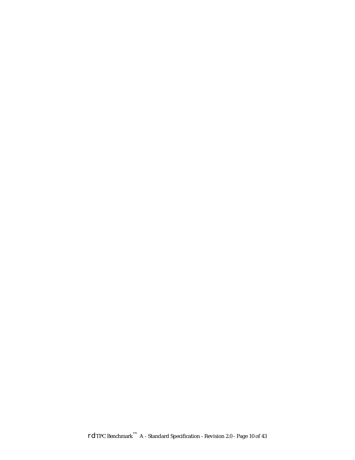$\mathbf{rd}$  Benchmark  $^{\!\!\!\text{TM}}\!$  A - Standard Specification - Revision 2.0 - Page 10 of 43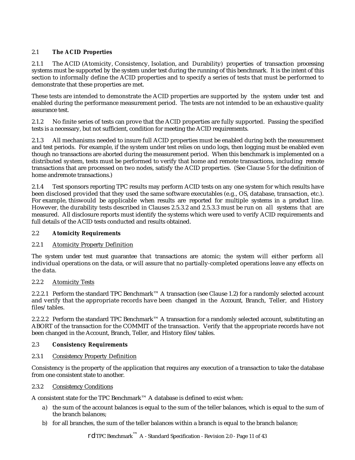#### 2.1 **The ACID Properties**

2.1.1 The ACID (Atomicity, Consistency, Isolation, and Durability) properties of transaction processing systems must be supported by the system under test during the running of this benchmark. It is the intent of this section to informally define the ACID properties and to specify a series of tests that must be performed to section to informally define the ACID properties and to specify a series of tests that must be performed to define the ACID properties that these performed to define the performed to define the performed to define the cont demonstrate that these properties are met.

These tests are intended to demonstrate the ACID properties are supported by the system under tests are supported  $\Gamma$ enabled during the performance measurement period. The tests are not intended to be an exhaustive quality assurance test.

2.1.2 No finite series of tests can prove that the ACID properties are fully supported. Passing the specified tests is a necessary, but not sufficient, condition for meeting the ACID requirements.

2.1.3 All mechanisms needed to insure full ACID properties must be enabled during both the measurement and test periods. For example, if the system under test relies on undo logs, then logging must be enabled even though no transactions are aborted during the measurement period. When this benchmark is implemented on a distributed system, tests must be performed to verify that home and remote transactions, including remote distributed system, tests must be performed to verify that  $\Delta$ CID properties. (See Clause 5 for the definition of transactions that are processed on two nodes, satisfy the ACID properties. (See Clause 5 for the definition of home andremote transactions.)

2.1.4 Test sponsors reporting TPC results may perform ACID tests on any one system for which results have been disclosed provided that they used the same software executables (e.g., OS, database, transaction, etc.). 2 1 4 For example, this would be applicable when results are reported for multiple systems in a product line. However, the durability tests described in Clauses 2.5.3.2 and 2.5.3.3 must be run on all systems that are measured. All disclosure reports must identify the systems which were used to verify ACID requirements and full details of the ACID tests conducted and results obtained. full details of the ACID tests conducted and results obtained.

#### 2.2 **Atomicity Requirements**

#### 2.2.1 Atomicity Property Definition

The system under test mate guarantee that the negative that the system with  $\frac{1}{2}$  are atomic  $\frac{1}{2}$  and  $\frac{1}{2}$  are atomic  $\frac{1}{2}$  are atomic  $\frac{1}{2}$  are atomic  $\frac{1}{2}$  are atomic  $\frac{1}{2}$  are atomic  $\frac{1$ individual operations on the data, or will assure that no partially-completed operations leave any effects on the data.

#### 2.2.2 Atomicity Tests

2.2.2.1 Perform the standard TPC Benchmark™ A transaction (see Clause 1.2) for a randomly selected account and verify that the appropriate records have been changed in the Account, Branch, Teller, and History files/tables.

2.2.2.2 Perform the standard TPC Benchmark™ A transaction for a randomly selected account, substituting an ABORT of the transaction for the COMMIT of the transaction. Verify that the appropriate records have not  $\Delta B$  of the transaction for the Committee of the appropriate records have not the appropriate records have not been changed in the Account, Branch, Teller, and History files/tables.

#### 2.3 **Consistency Requirements**

#### 2.3.1 Consistency Property Definition

Consistency is the property of the application that requires any execution of a transaction to take the database from one consistent state to another.

#### 2.3.2 Consistency Conditions

- A consistent state for the TPC Benchmark™ A database is defined to exist when: a) the sum of the account balances is equal to the sum of the teller balances, which is equal to the sum of the branch balances;
	- b) for all branches, the sum of the teller balances within a branch is equal to the branch balance;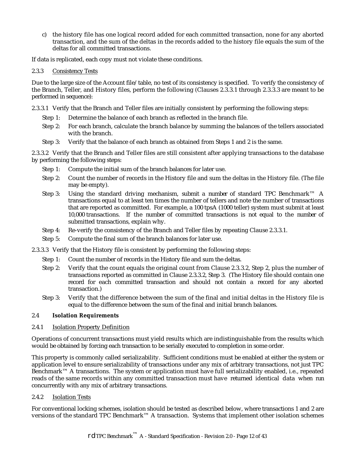c) the history file has one logical record added for each committed transaction, none for any aborted transaction, and the sum of the deltas in the records added to the history file equals the sum of the deltas for all committed transactions.

If data is replicated, each copy must not violate these conditions.

#### 2.3.3 Consistency Tests

 $\mathcal{L}$  be to the large size of the large size of the  $\mathcal{L}$  the  $\mathcal{L}$  the  $\mathcal{L}$  the  $\mathcal{L}$  the constraint file  $\mathcal{L}$  the constraint file  $\mathcal{L}$  the constraint file  $\mathcal{L}$  the constraint  $\mathcal{L}$  the con the Branch, Teller, and History files, perform the following (Clauses 2.3.3.3.3.3.3.3.3.3.3.3.3.3.3 are meant to be<br>norformed in coquence) performed in sequence):

2.3.3.1 Verify that the Branch and Teller files are initially consistent by performing the following steps:<br>Step 1: Determine the balance of each branch as reflected in the branch file.

- 
- Step 1: Determine the balance of each branch as reflected in the branch file.  $S_{\text{top}}$  2: For each balance of balance balance by summing the balances of the tellers associated
- with the branch. Step 3: Verify that the balance of each branch as obtained from Steps 1 and 2 is the same.

2.3.3.2 Verify that the Branch and Teller files are still consistent after applying transactions to the database by performing the following steps:<br>Step 1: Compute the initial sum of the branch balances for later use.

- 
- Step 1: Compute the initial sum of the branch balances for later use.  $S_{\text{C}}$   $\mu$   $\mu$   $\sigma$  and the number of records in the History file and sum the deltas in the History file. (The file may be empty).<br>Using the standard driving mechanism, submit a number of standard TPC Benchmark<sup>TM</sup> A
- Step 3: Using the standard driving mechanism, submit a number of standard TPC Benchmark<sup>™</sup> A transactions equal to at least ten times the number of tellers and note the number of transactions that are reported as committed. For example, a 100 tpsA (1000 teller) system must submit at least  $10,000$  transactions. If the number of committed transactions is not equal to the number of submitted transactions, explain why.
- Re-verify the consistency of the Branch and Teller files by repeating Clause 2.3.3.1. Step 4: Re-verify the consistency of the Branch and Teller files by repeating Clause 2.3.1.1.1.
- Step 5: Compute the final sum of the branch balances for later use.
- 2.3.3.3 Verify that the History file is consistent by performing the following steps:<br>Step 1: Count the number of records in the History file and sum the deltas.
	-
	- Step 2: Verify that the count equals the original count from Clause 2.3.3.2, Step 2, plus the number of transactions reported as committed in Clause 2.3.3.2, Step 3. (The History file should contain one  $t_{\text{non-} \text{non-} \text{non-} \text{non-} \text{non-} \text{non-} \text{non-} \text{non-} \text{non-} \text{non-} \text{non-} \text{non-} \text{non-} \text{non-} \text{non-} \text{non-} \text{non-} \text{non-} \text{non-} \text{non-} \text{non-} \text{non-} \text{non-} \text{non-} \text{non-} \text{non-} \text{non-} \text{non-} \text{non-} \text{non-} \text{non-} \text{non-} \text{non-} \text{non-} \text{non-} \text{non-} \text$ record for each committed transaction and should not contain a record for any aborted transaction.)<br>Verify that the difference between the sum of the final and initial deltas in the History file is
	- $S_{\text{c}}$  is  $\alpha$  and the difference between the sum of the final and initial hearch balances equal to the difference between the sum of the final and initial branch balances.

#### 2.4 **Isolation Requirements**

#### 2.4.1 Isolation Property Definition

 $\sigma$  practices of concurrent transactions must yield results which are indicated the completion in some order would be obtained by forcing each transaction to be serially executed to completion in some order.

This property is commonly called serializability. Sufficient conditions must be enabled at either the system or<br>application level to ensure serializability of transactions under any mix of arbitrary transactions, not just Benchmark<sup>TM</sup> A transactions. The system or application must have full serializability enabled, i.e., repeated reads of the same records within any committed transaction must have returned identical data when run reads of the same records within any committed transaction must have returned identical data when run<br>concurrently with any mix of arhitrary transactions concurrently with any mix of arbitrary transactions.

## **2.4.2 Isolation** Tests

For conventional locations  $\mathcal{L}_{\text{F}}$  showledge as described as described below, where the transaction showledge  $\mathcal{L}_{\text{F}}$  and  $\mathcal{L}_{\text{F}}$  and  $\mathcal{L}_{\text{F}}$  are transactions  $\mathcal{L}_{\text{F}}$  and  $\mathcal{L}_{\text{F}}$  are tr versions of the standard TPC Benchmark™ A transaction. Systems that implement other isolation schemes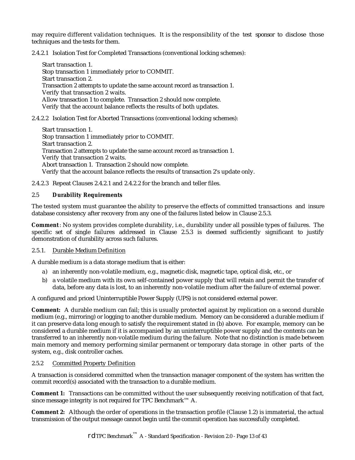may require different validation techniques. It is the responsibility of the test sponsor to disclose those techniques and the tests for them.

2.4.2.1 Isolation Test for Completed Transactions (conventional locking schemes):

Start transaction 1.<br>Stop transaction 1 immediately prior to COMMIT. Start transaction 2. Transaction 2 attempts to update the same account record as transaction 1. Verify that transaction 2 waits. Allow transaction 1 to complete. Transaction 2 should now complete. Allow transaction 1 to complete. Transaction 2 should now complete. Verify that the account balance reflects the results of both updates.

#### 2.4.2.2 Isolation Test for Aborted Transactions (conventional locking schemes):

start transaction 1.<br>Stop transaction 1.i Stop transaction 1 immediately prior to COMMIT. Start transaction 2.<br>Transaction 2 attempts to update the same account record as transaction 1. Verify that transaction 2 waits. Abort transaction 1. Transaction 2 should now complete. Abort transaction 1. Transaction 2 should now complete. Verify that the account balance reflects the results of transaction 2's update only.

2.4.2.3 Repeat Clauses 2.4.2.1 and 2.4.2.2 for the branch and teller files.

#### 2.5 **Durability Requirements**

The tested system must guarantee the ability to preserve the effects of committee the system must guarantee the effects of  $\frac{1}{2}$ database consistency after recovery from any one of the failures listed below in Clause 2.5.3.

**Comment**: No system provides complete durability, i.e., durability under all possible types of failures. The specific set of single failures addressed in Clause 2.5.3 is deemed sufficiently significant to justify specific set of single failures addressed in Clause 2.5.3 deemed sufficiently significant to justify demonstration of durability across such failures.

#### 2.5.1. Durable Medium Definition

- A durable medium is a data storage medium that is either:<br>a) an inherently non-volatile medium, e.g., magnetic disk, magnetic tape, optical disk, etc., or
	- b) a volatile medium with its own self-contained power supply that will retain and permit the transfer of  $\mathbf{a}$  a volume medium with its own settlement power supply that will retain and permit the transfer on  $\mathbf{b}$  and  $\mathbf{b}$  and  $\mathbf{b}$  and  $\mathbf{b}$  and  $\mathbf{b}$  and  $\mathbf{b}$  and  $\mathbf{b}$  and  $\mathbf{b}$  and  $\mathbf{b}$  an data, before any data is lost, to an inherently non-volatile medium after the failure of external power.

A configured and priced Uninterruptible Power Supply (UPS) is not considered external power.

**Comment:** A durable medium can fail; this is usually protected against by replication on a second durable medium if  $\frac{1}{10}$  medium (e.g., mirroring) or logging to another durable medium. Memory can be considered a dura it can preserve data long enough to satisfy the requirement stated in (b) above. For example, memory can be considered a durable medium if it is accompanied by an uninterruptible power supply and the contents can be transferred to an inherently non-volatile medium during the failure. Note that no distinction is made between main memory and memory performing similar permanent or temporary data storage in other parts of the main memory and memory performing similar permanent or temporary data storage in other parts of the system, e.g., disk controller caches.

#### 2.5.2 Committed Property Definition

A transaction is considered committed when the transaction manager component of the system has written the commit record(s) associated with the transaction to a durable medium. commit record(s) associated with the transaction to a durable medium.

**Comment 1:** Transactions can be committed without the user subsequently receiving notification of that fact, since message integrity is not required for TPC Benchmark™ A.

**Comment 2:** Although the order of operations in the transaction profile (Clause 1.2) is immaterial, the actual transmission of the output message cannot begin until the commit operation has successfully completed.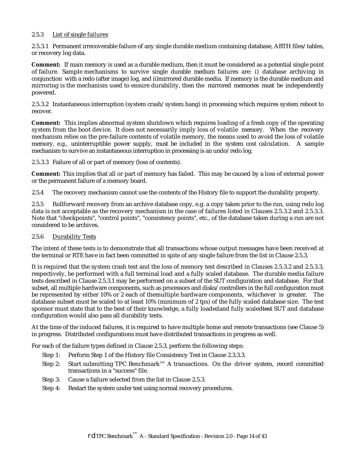#### 2.5.3 List of single failures

2.5.3.1 Permanent irrecoverable failure of any single durable medium containing database, ABTH files/tables, or recovery log data.

**Comment:** If main memory is used as a durable medium, then it must be considered as a potential single point conjunction with a redo (after image) log, and ii)mirrored durable media. If memory is the durable medium and conjunction with a redo (after image) log, and injunction and increment in memory is the durable medium and  $\epsilon$  medium and  $\epsilon$  memory is the durable medium and  $\epsilon$  memory is the durable medium and  $\epsilon$  medium and  $\epsilon$  mirroring is the mechanism used to ensure durability, then the mirrored memories must be independently powered.

2.5.3.2 Instantaneous interruption (system crash/system hang) in processing which requires system reboot to recover.

**Comment:** This implies abnormal system shutdown which requires loading of a fresh copy of the operating system from the boot device. It does not necessarily imply loss of volatile memory. When the recovery mechanism relies on the pre-failure contents of volatile memory, the means used to avoid the loss of volatile memory, e.g., uninterruptible power supply, must be included in the system cost calculation. A sample memory, uninterruption power supply, must be interpreted in the system cost calculation. A sample mechanism to survive an instantaneous interruption in processing is an undo/redo log.

2.5.3.3 Failure of all or part of memory (loss of contents).

**Comment:** This implies that all or part of memory has failed. This may be caused by a loss of external power or the permanent failure of a memory board.

2.5.4 The recovery mechanism cannot use the contents of the History file to support the durability property.

2.5.5 Rollforward recovery from an archive database copy, e.g. a copy taken prior to the run, using redo log data is not acceptable as the recovery mechanism in the case of failures listed in Clauses 2.5.3.2 and 2.5.3.3. Note that "checkpoints", "control points", "consistency points", etc., of the database taken during a run are not considered to be archives. considered to be archives.

#### 2.5.6 Durability Tests

The intent of these tests is to demonstrate that all transactions whose output messages have been received at  $\frac{1}{2}$ the terminal or RTE have in fact been committed in spite of any single failure from the list in Clause 2.5.3.3

It is required that the system crash test and the loss of memory test described in Clauses 2.5.3.2 and 2.5.3.3, respectively, be performed with a full terminal load and a fully scaled database. The durable media failure tests described in Clause 2.5.3.1 may be performed on a subset of the SUT configuration and database. For that subset, all multiple hardware components, such as processors and disks/controllers in the full configuration must be represented by either 10% or 2 each of themultiple hardware components, whichever is greater. The database subset must be scaled to at least 10% (minimum of 2 tps) of the fully scaled database size. The test sponsor must state that to the best of their knowledge, a fully loaded and fully scaled test SUT and database sponsor must state that to the best of their knowledge, a fully loadedand fully scaledtest SUT and database configuration would also pass all durability tests.

At the time of the induced failures, it is required to have multiple home under the induced failures,  $\frac{1}{2}$ in progress. Distributed configurations must have distributed transactions in progress as well.

For each of the failure types defined in Clause 2.5.3, perform the following steps:<br>Step 1: Perform Step 1 of the History file Consistency Test in Clause 2.3.3.3.

- 
- Step 2: Start submitting TPC Benchmark<sup>TM</sup> A transactions. On the driver system, record committed transactions in a "success" file.
- Cause a failure selected from the list in Clause 2.5.3.
- Step 3: Cause a failure selected from the list in Clause 2.5.3.3. Step 4: Restart the system under test using normal recovery procedures.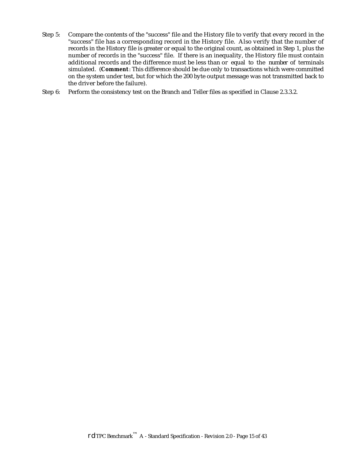- Step 5: Compare the contents of the "success" file and the History file to verify that every record in the records in the History file is greater or equal to the original count, as obtained in Step 1, plus the number of records in the "success" file. If there is an inequality, the History file must contain additional records and the difference must be less than or equal to the number of terminals simulated. (**Comment**: This difference should be due only to transactions which were committed<br>on the system under test, but for which the 200 byte output message was not transmitted back to on the system under test, but for which the 200 byte output message was not transmitted back to
- the driver before the failure). Step 6: Perform the consistency test on the Branch and Teller files as specified in Clause 2.3.3.3.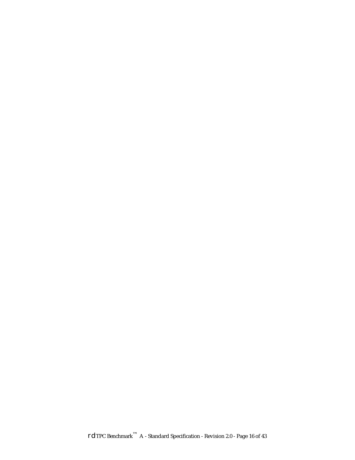$\mathbf{rd}$  Benchmark™  $\mathbf{A}$  - Standard Specification - Revision 2.0 - Page 16 of 43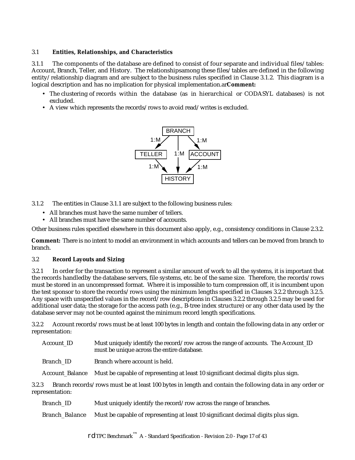#### 3.1 **Entities, Relationships, and Characteristics**

3.1.1 The components of the database are defined to consist of four separate and individual files/tables: entity/relationship diagram and are subject to the business rules specified in Clause 3.1.2. This diagram is a logical description and has no implication for physical implementation.ar**Comment:** 

- The clustering of records within the database (as in hierarchical or CODASYL databases) is not
- exercices. • A view which represents the records/rows to avoid read/writes is excluded.



3.1.2 The entities in Clause 3.1.1 are subject to the following business rules:<br>• All branches must have the same number of tellers.

- 
- All branches must have the same number of  $accounts$ . • All branches must have the same number of accounts.

Other business rules specified elsewhere in this document also apply, e.g., consistency conditions in Clause 2.3.2.

**Comment:** There is no intent to model an environment in which accounts and tellers can be moved from branch to branch.

#### 3.2 **Record Layouts and Sizing**

3.2.1 In order for the transaction to represent a similar amount of work to all the systems, it is important that the records handledby the database servers, file systems, etc. be of the same size. Therefore, the records/r must be stored in an uncompressed format. Where it is impossible to turn compression off, it is incumbent upon the test sponsor to store the records/rows using the minimum lengths specified in Clauses 3.2.2 through 3.2.5. Any space with unspecified values in the record/row descriptions in Clauses 3.2.2 through 3.2.5 may be used for additional user data; the storage for the access path (e.g., B-tree index structure) or any other data used by the a additional user data; the storage for the access path (e.g., B-tree index structure) or any other data used by the distributions. database server may not be counted against the minimum record length specifications.

3.2.2 Account records/rows must be at least 100 bytes in length and contain the following data in any order or representation:

|                                                                                                                                     | Account_ID | Must uniquely identify the record/row across the range of accounts. The Account_ID<br>must be unique across the entire database. |
|-------------------------------------------------------------------------------------------------------------------------------------|------------|----------------------------------------------------------------------------------------------------------------------------------|
|                                                                                                                                     | Branch ID  | Branch where account is held.                                                                                                    |
|                                                                                                                                     |            | Account_Balance Must be capable of representing at least 10 significant decimal digits plus sign.                                |
| Branch records/rows must be at least 100 bytes in length and contain the following data in any order or<br>3.2.3<br>representation: |            |                                                                                                                                  |

Branch\_ID Must uniquely identify the record/row across the range of branches.

Branch\_Balance Must be capable of representing at least 10 significant decimal digits plus sign.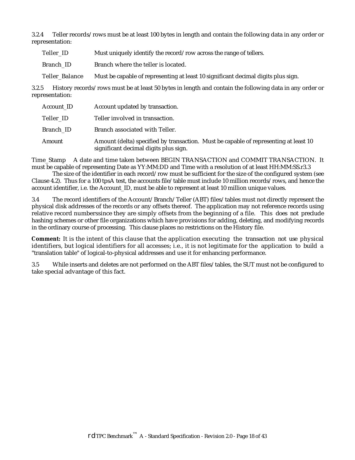3.2.4 Teller records/rows must be at least 100 bytes in length and contain the following data in any order or representation:

| Teller_ID      | Must uniquely identify the record/row across the range of tellers.                |
|----------------|-----------------------------------------------------------------------------------|
| Branch ID      | Branch where the teller is located.                                               |
| Teller Balance | Must be capable of representing at least 10 significant decimal digits plus sign. |

3.2.5 History records/rows must be at least 50 bytes in length and contain the following data in any order or representation:

| Account_ID | Account updated by transaction.                                                                                               |
|------------|-------------------------------------------------------------------------------------------------------------------------------|
| Teller ID  | Teller involved in transaction.                                                                                               |
| Branch ID  | Branch associated with Teller.                                                                                                |
| Amount     | Amount (delta) specified by transaction. Must be capable of representing at least 10<br>significant decimal digits plus sign. |

Time\_Stamp A date and time taken between BEGIN TRANSACTION and COMMIT TRANSACTION. It must be capable of representing Date as YY:MM:DD and Time with a resolution of at least HH:MM:SS.r3.3

The size of the identifier in each record/row must be sufficient for the size of the configured system (see Clause 4.2). Thus for a 100 tpsA test, the accounts file/table must include 10 million records/rows, and hence the Cause  $\frac{1}{2}$ , Thus for a 100 tps A test, the accounts file able to represent at least 10 million records, while account identifier, i.e. the Account\_ID, must be able to represent at least 10 million unique values.

3.4 The record identifiers of the Account/Branch/Teller (ABT) files/tables must not directly represent the physical disk addresses of the records or any offsets thereof. The application may not reference records using relative record numberssince they are simply offsets from the beginning of a file. This does not preclude hashing schemes or other file organizations which have provisions for adding, deleting, and modifying records hashing schemes or our other file organizations which have provided by a ding the state of the ordinary course of processing. This clause places no restrictions on the History file in the ordinary course of processing. This clause places no restrictions on the History file.

**Comment:** It is the intent of this clause that the application executing the transaction not use physical identifiers, but logical identifiers for all accesses; i.e., it is not legitimate for the application to build a identifiers, but logical identifiers for all accesses; i.e., it is not logical material accessive  $\frac{1}{2}$ "translation table" of logical-to-physical addresses and use it for enhancing performance.

3.5 While inserts and deletes are not performed on the ABT files/tables, the SUT must not be configured to take special advantage of this fact.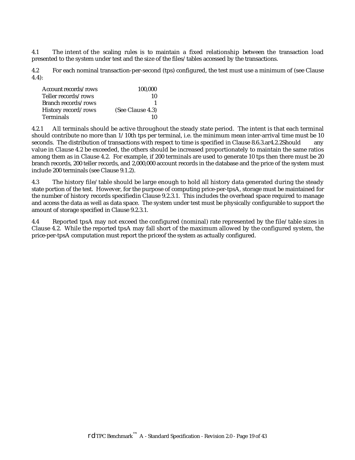$\frac{1}{100}$  The intent of the scaling rules is to maintain a fixed relationship between the scaling relations in  $\frac{1}{100}$  and  $\frac{1}{100}$  be the scaling interval in  $\frac{1}{100}$  between loads of the files (the files con presented to the system under test and the size of the files/tables accessed by the transactions.

4.2 For each nominal transaction-per-second (tps) configured, the test must use a minimum of (see Clause 4.4):

| Account records/rows | 100.000          |
|----------------------|------------------|
| Teller records/rows  | 10               |
| Branch records/rows  |                  |
| History record/rows  | (See Clause 4.3) |
| Terminals            | 10               |
|                      |                  |

4.2.1 All terminals should be active throughout the steady state period. The intent is that each terminal should contribute no more than 1/10th tps per terminal, i.e. the minimum mean inter-arrival time must be 10 seconds. The distribution of transactions with respect to time is specified in Clause 8.6.3.ar4.2.2Should any value in Clause 4.2 be exceeded, the others should be increased proportionately to maintain the same ratios among them as in Clause 4.2. For example, if 200 terminals are used to generate 10 tps then there must be 20 branch records, 200 teller records, and 2,000,000 account records in the database and the price of the system must branch records, 200 terminals (see Clause 0.1.2).  $\frac{1}{2}$  $intrate$  200 terminals (see Clause 9.1.2).

4.3 The history file/table should be large enough to hold all history data generated during the steady state portion of the test. However, for the purpose of computing price-per-tpsA, storage must be maintained for the number of history records specifiedin Clause 9.2.3.1. This includes the overhead space required to manage  $\frac{1}{2}$  number of  $\frac{1}{2}$  records specifieding  $\frac{1}{2}$  and  $\frac{1}{2}$  and  $\frac{1}{2}$  and  $\frac{1}{2}$  and  $\frac{1}{2}$  and  $\frac{1}{2}$  and  $\frac{1}{2}$  and  $\frac{1}{2}$  and  $\frac{1}{2}$  and  $\frac{1}{2}$  and  $\frac{1}{2}$  and  $\frac{1}{2}$  and  $\$ and access the data as well as a data space. The system under test must be physically comigurable to support the amount of storage specified in Clause 9.2.3.1.

4.4 Reported tpsA may not exceed the configured (nominal) rate represented by the file/table sizes in<br>Clause 4.2. While the reported tpsA may fall short of the maximum allowed by the configured system, the Cause  $\mathbf{C} \mathbf{w}$ , while the reported tps  $\mathbf{w}$  fall short of the maximum allowed by the configured system, the price-per-tpsA computation must report the priceof the system as actually configured.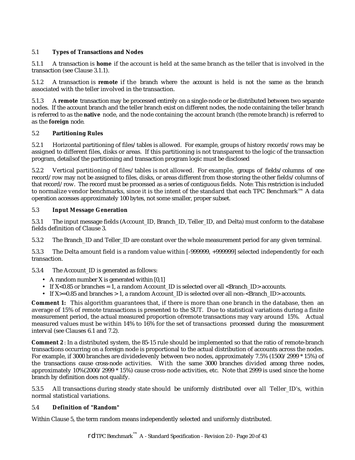#### 5.1 **Types of Transactions and Nodes**

5.1.1 A transaction is **home** if the account is held at the same branch as the teller that is involved in the transaction (see Clause 3.1.1).

5.1.2 A transaction is **remote** if the branch where the account is held is not the same as the branch associated with the teller involved in the transaction.

5.1.3 <sup>A</sup>**remote** transaction may be processed entirely on a single-node or be distributed between two separate is referred to as the **native** node, and the node containing the account branch (the remote branch) is referred to<br>as the **foreign** node as the **foreign** node.

#### 5.2 **Partitioning Rules**

5.2.1 Horizontal partitioning of files/tables is allowed. For example, groups of history records/rows may be assigned to different files, disks or areas. If this partitioning  $\omega$  not transparent to different to the logic of the transaction program, detailsof the partitioning and transaction program logic must be disclosed

5.2.2 Vertical partitioning of files/tables is not allowed. For example, groups of fields/columns of one record/row may not be assigned to files, disks, or areas different from those storing the other fields/columns of that record/row. The record must be processed as a series of contiguous fields. Note: This restriction is included to normalize vendor benchmarks, since it is the intent of the standard that each TPC Benchmark<sup>TM</sup> A data  $t_{\rm c}$  normalize vendor benchmarks, since it is the intent of the standard that each TPC Benchmark  $\alpha$  data operation accesses approximately 100 bytes, not some smaller, proper subset.

#### 5.3 **Input Message Generation**

5.3.1 The input message fields (Account\_ID, Branch\_ID, Teller\_ID, and Delta) must conform to the database fields definition of Clause 3.

5.3.2 The Branch ID and Teller ID are constant over the whole measurement period for any given terminal.

5.3.3 The Delta amount field is a random value within [-999999, +999999] selected independently for each transaction.

- 5.3.4 The Account\_ID is generated as follows:<br>• A random number X is generated within [0,1]
	- If  $X < 0.85$  or branches = 1, a random Account [D] is selected over all  $\langle$ Branch [ID $\rangle$  accounts.
	- If  $X > = 0.85$  and branches  $> 1$ , a random Account ID is selected over all non- $\langle$ Branch ID $\rangle$  accounts.  $\mathbf{r}$  ,  $\mathbf{r}$  and branches  $\mathbf{r}$ , a random Account $\mathbf{r}$  is selected over all non-extantingles accounts.

**Comment 1:** This algorithm guarantees that, if there is more than one branch in the database, then an average of 15% of remote transactions is presented to the SUT. Due to statistical variations during a finite<br>measurement period, the actual measured proportion ofremote transactions may vary around 15%. Actual measured values must be within 14% to 16% for the set of transactions processed during the measurement  $\frac{1}{2}$  for  $\frac{1}{2}$  for  $\frac{1}{2}$  for  $\frac{1}{2}$  for  $\frac{1}{2}$  for the set of transactions processed during the measurement interval (see Clauses 6.1 and  $\sum_{i=1}^{\infty}$ 

**Comment 2** : In a distributed system, the 85-15 rule should be implemented so that the ratio of remote-branch transactions occurring on a foreign node is proportional to the actual distribution of accounts across the node For example, if 3000 branches are dividedevenly between two nodes, approximately 7.5% (1500/2999 \* 15%) of the transactions cause cross-node activities. With the same 3000 branches divided among three nodes, the transactions cause  $\frac{16\%}{2000}$   $\frac{16\%}{2000}$   $\frac{16\%}{2000}$  branches cross-node activities, atc. Note that 2000 b used since the home approximately 10% (2000) and  $\sigma$  10%) cause cross-node activities, etc. Note that 2999 is used since the home<br>homeh hy definition does not qualify branch by definition does not qualify.

5.3.5 All transactions during steady state should be uniformly distributed over all Teller\_ID's, within normal statistical variations.

#### 5.4 **Definition of "Random"**

Within Clause 5, the term random means independently selected and uniformly distributed.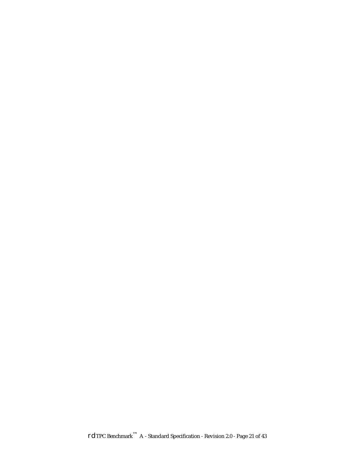$\mathbf{rd}$  Benchmark  $^{\!\!\!\text{TM}}\!$  A - Standard Specification - Revision 2.0 - Page 21 of 43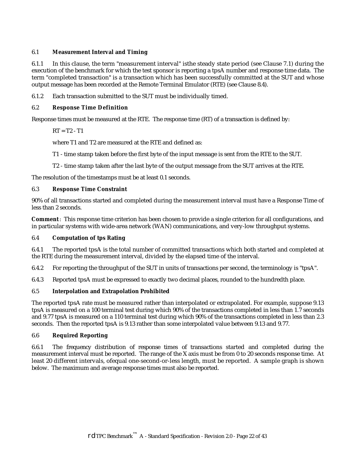#### 6.1 **Measurement Interval and Timing**

6.1.1 In this clause, the term "measurement interval" isthe steady state period (see Clause 7.1) during the execution of the benchmark for which the test sponsor is reporting a tpsA number and response time data. The term "completed transaction" is a transaction which has been successfully committed at the SUT and whose  $t_{\text{c}}$  term  $t_{\text{c}}$  and  $t_{\text{c}}$  transaction which has been successfully completed at the SUT and whose  $t_{\text{c}}$  and whose  $t_{\text{c}}$  and whose  $t_{\text{c}}$  and whose  $t_{\text{c}}$  and whose  $t_{\text{c}}$  and  $t_{\text{c}}$  and  $t_{$ output message has been recorded at the Remote Terminal Emulator (RTE) (see Clause 8.4).

6.1.2 Each transaction submitted to the SUT must be individually timed.

#### 6.2 **Response Time Definition**

Response times must be measured at the RTE. The response time (RT) of a transaction is defined by:

 $RT = T2 - T1$  $R_{\text{R}}$   $\sim$   $R_{\text{R}}$ 

where T1 and T2 are measured at the RTE and defined as:

T1 - time stamp taken before the first byte of the input message is sent from the RTE to the SUT.

T2 - time stamp taken after the last byte of the output message from the SUT arrives at the RTE.

The resolution of the timestamps must be at least 0.1 seconds.

#### 6.3 **Response Time Constraint**

90% of all transactions started and completed during the measurement interval must have a Response Time of less than 2 seconds.

**Comment**: This response time criterion has been chosen to provide a single criterion for all configurations, and in particular systems with wide-area network (WAN) communications, and very-low throughput systems.

#### 6.4 **Computation of tps Rating**

6.4.1 The reported tpsA is the total number of committed transactions which both started and completed at the RTE during the measurement interval, divided by the elapsed time of the interval.

6.4.2 For reporting the throughput of the SUT in units of transactions per second, the terminology is "tpsA".

6.4.3 Reported tpsA must be expressed to exactly two decimal places, rounded to the hundredth place.

#### 6.5 **Interpolation and Extrapolation Prohibited**

The reported tpsA rate must be measured rather than interpolated or extrapolated. For example, suppose 9.13 tpsA is measured on a 100 terminal test during which 90% of the transactions completed in less than 1.7 seconds and 9.77 tpsA is measured on a 110 terminal test during which 90% of the transactions completed in less than 2.3 and 9.77 the measured on a 110 terminal test during which 90% of the transactions completed in  $\beta$  is  $\beta$  is  $\beta$  is  $\beta$  is  $\gamma$  then  $\beta$  the transactions completed value between  $\beta$  is  $\gamma$  is  $\alpha$  is  $\gamma$ seconds. Then the reported tpsA is 9.13 rather than some interpolated value between 9.13 and 9.77.

#### 6.6 **Required Reporting**

6.6.1 The frequency distribution of response times of transactions started and completed during the measurement interval must be reported. The range of the X axis must be from 0 to 20 seconds response time. At 661 least 20 different intervals, ofequal one-second-or-less length, must be reported. A sample graph is shown least 20 different intervals, or-qual one-second-or-less length, must be reported. A sample graph is shown below. The maximum and average response times must also be reported.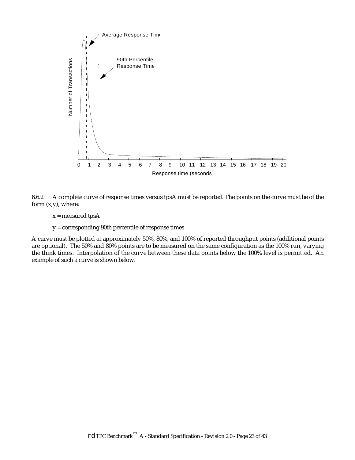

6.6.2 A complete curve of response times versus tpsA must be reported. The points on the curve must be of the form (x,y), where:

- x = measured tpsA
- y = corresponding 90th percentile of response times

A curve must be plotted at approximately 50%, 80%, and 100% of reported throughput points (additional points are optional). The 50% and 80% points are to be measured on the same configuration as the 100% run, varying the think times. Interpolation of the curve between these data points below the 100% level is permitted. An the think times. Interpolation of the curve between these data points below the 100% level is permitted. An example of such a curve is shown below.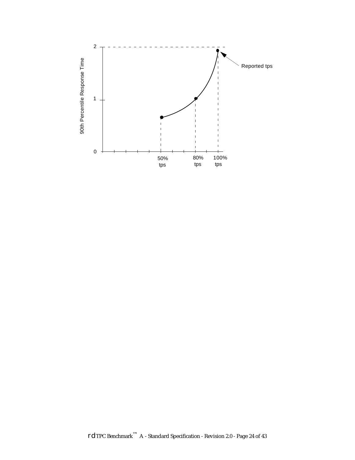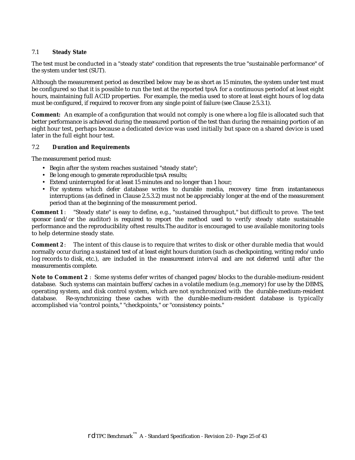#### 7.1 **Steady State**

The test must be conducted in a "steady state" condition that represents the true "sustainable performance" of the system under test (SUT).

Although the measurement period as described below may be as short as 15 minutes, the system under test must<br>be configured so that it is possible to run the test at the reported tpsA for a continuous periodof at least eigh hours, maintaining full ACID properties. For example, the media used to store at least eight hours of log data hours, maintaining function for expertisor. For example, the media point of follows  $(800 \text{ GHz})$  5.2.1) must be configured, if required to recover from any single point of failure (see Clause 2.5.3.1).

**Comment:** An example of a configuration that would not comply is one where a log file is allocated such that better performance is achieved during the measured portion of the test than during the remaining portion of an eight hour test, perhaps because a dedicated device was used initially but space on a shared device is used eight hour test, perhaps because a dedicated device was used initially but space on a shared device is used<br>Inform the full eight hour test later in the full eight hour test.

#### 7.2 **Duration and Requirements**

- The measurement period must:<br>• Begin after the system reaches sustained "steady state";
	- Be long enough to generate reproducible tpsA results;
	- Extend uninterrupted for at least 15 minutes and no longer than 1 hour;
	- For systems which defer database writes to durable media, recovery time from instantaneous interruptions (as defined in Clause 2.5.3.2) must not be appreciably longer at the end of the measurement interruptions (as defined in Clause 2.5.3.2) must not be appreciably longer at the end of the measurement

period than at the beginning of the measurement period. **Comment 1**: "Steady state" is easy to define, e.g., "sustained throughput," but difficult to prove. The test sponsor (and/or the auditor) is required to report the method used to verify steady state sustainable sponsor (and or the auditor) is required to report the method asset to report the method used  $\eta$  steady steady steady steady steady steady steady steady steady steady steady steady steady steady steady steady steady ste performance and the reproducibility oftest results.The auditor is encouraged to use available monitoring tools to help determine steady state.

**Comment 2** : The intent of this clause is to require that writes to disk or other durable media that would normally occur during a sustained test of at least eight hours duration (such as checkpointing, writing redo/undo normally occur during a sustained test of a sustained test of at least  $\frac{1}{2}$  and  $\frac{1}{2}$  and  $\frac{1}{2}$  and  $\frac{1}{2}$  and  $\frac{1}{2}$  and  $\frac{1}{2}$  and  $\frac{1}{2}$  and  $\frac{1}{2}$  and  $\frac{1}{2}$  and  $\frac{1}{2}$  and  $\frac{1}{2}$  log records to disk, etc.), are included in the measurement interval and are not deferred until after the measurementis complete.

Note to Comment 2 : Some systems defer writes of changed pages/blocks to the durable-medium-resident database. Such systems can maintain buffers/caches in a volatile medium (e.g., memory) for use by the DBMS, operating system, and disk control system, which are not synchronized with the durable-medium-resident  $database$ . Re-synchronizing these caches with the durable-medium-resident database is typically  $\frac{d}{dt}$  decomplished via "control points" "checkpoints" or "consistency points"  $\frac{d}{dt}$  calculation database is typically accomplished via "control points," "checkpoints," or "consistency points."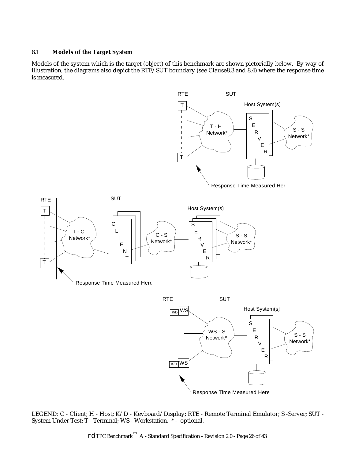#### 8.1 **Models of the Target System**

Models of the system when  $\frac{1}{2}$  of the target (object) of this benchmark are shown pictorial lustration, the diagrams also denict the  $\frac{DF}{\sqrt{5}}$  (see Clause 2, and 2, and 2, where the response time illustration, the diagrams also depict the RTE/SUT boundary (see Clause8.3 and 8.4) where the response time is measured.



 $\frac{L}{L}$  - Client; Control - Client; Control - Client; Remote Terminal Emulator; S -Server; SUT - Remote Test: T - Terminal: WS - Worketsion - \* - entional System Under Test; T - Terminal; WS - Workstation. \* - optional.

 $\mathbf{r}$ dTPC Benchmark™ A - Standard Specification - Revision 2.0 - Page 26 of 43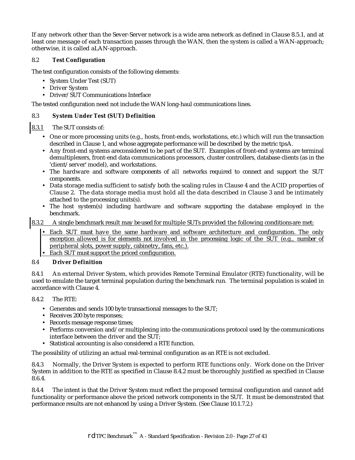If any network other than the Sever-Server-Server network is a wide area network as defined in Clause 8.5.1, and at  $N_A$ least one message of each transaction passes through the WAN, then the system is called a WAN-approach; otherwise, it is called aLAN-approach.

#### 8.2 **Test Configuration**

The test configuration consists of the following elements:<br>• System Under Test (SUT)

- 
- Driver System
- Driver  $\sqrt{\text{SUTC}}$ • Driver/SUT Communications Interface

The tested configuration need not include the WAN long-haul communications lines.

#### 8.3 **System Under Test (SUT) Definition**

- 8.3.1 The SUT consists of:<br>• One or more processing units (e.g., hosts, front-ends, workstations, etc.) which will run the transaction described in Clause 1, and whose aggregate performance will be described by the metric tpsA.
	- Any front-end systems areconsidered to be part of the SUT. Examples of front-end systems are terminal demultiplexers, front-end data communications processors, cluster controllers, database clients (as in the demultiplexers, front-end data communications processors, cluster controllers, database clients (as in the 'client/server' model), and workstations.
	- The hardware and software components of all networks required to connect and support the SUT
	- Data storage media sufficient to satisfy both the scaling rules in Clause 4 and the ACID properties of Clause 2. The data storage media must hold all the data described in Clause 3 and be intimately atta ched to the processing units (s).
	- attached to the processing amis (s). • The host system(s) including hardware and software supporting the database employed in the benchmark.<br>A single benchmark result may be used for multiple SUTs provided the following conditions are met:
- 
- 8.3.2 A single benchmark result may be used for multiple SUTs provided the following conditions are met:<br>• Each SUT must have the same hardware and software architecture and configuration. The only exception allowed is for elements not involved in the processing logic of the SUT (e.g., number of peripheral slots, power supply, cabinetry, fans, etc.).
	- peripheral slots, power supply, cabinetry, fans, etc.). • Each SOT must support the priced comfundation.

#### 8.4 **Driver Definition**

 $\frac{1}{2}$ .1.1  $\frac{1}{2}$  and the provides Remote Terminal Driver System, which provides Remote Terminal Driver System, which provides Remote Terminal Emulation is scaled in used to emulate the target terminal population during the benchmark run. The terminal population is scaled in accordance with Clause 4.

- 
- 8.4.2 The RTE:<br>• Generates and sends 100 byte transactional messages to the SUT;
	- Receives 200 byte responses:
	- Records message response times;
	- Performs conversion and/or multiplexing into the communications protocol used by the communications interface between the driver and the SUT:
	- Statistical accounting is also considered a RTE function. • Statistical accounting is also considered a RTE function.

The possibility of utilizing an actual real-terminal configuration as an RTE is not excluded.

 $\mathcal{S}_{\text{Mst}}$  normally, the Driver System is expected to perform  $\mathbf{R}_{\text{Mst}}$  and  $\mathbf{R}_{\text{Mst}}$  are  $\mathbf{R}_{\text{Mst}}$  and  $\mathbf{R}_{\text{Mst}}$  are  $\mathbf{R}_{\text{Mst}}$  and  $\mathbf{R}_{\text{Mst}}$  are  $\mathbf{R}_{\text{Mst}}$  and  $\mathbf{R}_{\text{Mst}}$  are con System in addition to the RTE as specified in Clause 8.4.2 must be thoroughly justified as specified in Clause  $8.8.4.$ 

8.4.4 The intent is that the Driver System must reflect the proposed terminal configuration and cannot add functionality or performance above the priced network components in the SUT. It must be demonstrated that functionally or performance above the priced network component of  $\mathcal{L}_{\text{D}}$  and  $\mathcal{L}_{\text{D}}$  must be demonstrated that performance results are not enhanced by using a Driver System. (See Clause 10.1.7.2.)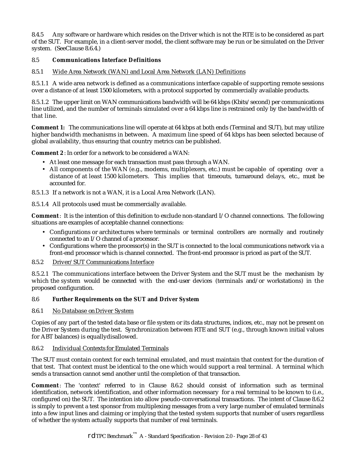$\frac{1}{2}$ .5  $\frac{1}{2}$  any software or hardware which resides on the Driver which is not the RTE is to be considered as part of the RTE is to be considered as part of the RTE is to be considered as part of the  $\frac{1}{2}$ of the SUT. For example, in a client-server model, the client-software may be run or be simulated on the Driver system. (SeeClause 8.6.4.)

#### 8.5 **Communications Interface Definitions**

#### 8.5.1 Wide Area Network (WAN) and Local Area Network (LAN) Definitions

8.5.1.1 A wide area network is defined as a communications interface capable of supporting remote sessions over a distance of at least 1500 kilometers, with a protocol supported by commercially available products. over a distance of at least 1500 kilometers, with a protocol supported by commercially available products.

 $\frac{1}{2}$ .5.1.2 The upper limit on WAN communications bandwidth will be  $\frac{1}{2}$  in  $\frac{1}{2}$  is retrained only by the bandwidth of line utilized, and the number of terminals simulated over a 64 kbps line is restrained only by the bandwidth of that line.

**Comment 1:** The communications line will operate at 64 kbps at both ends (Terminal and SUT), but may utilize higher bandwidth mechanisms in between. A maximum line speed of 64 kbps has been selected because of  $\frac{1}{2}$  mechanisms in between. A mechanisms in between. A maximum line speed of  $\frac{1}{2}$  has been selected because of global availability, thus ensuring that country metrics can be published.

- **Comment 2** : In order for a network to be considered a WAN:<br>• At least one message for each transaction must pass through a WAN.
	- All components of the WAN (e.g., modems, multiplexers, etc.) must be capable of operating over a  $\mu$  all components of the WAN (e.g., modeling, modeling over a product of operating over a capable of  $\mu$  and  $\mu$ distance of at least 1500 kilometers. This implies that timeouts, turnaround delays, etc., must be accounted for.

 $\frac{1}{2}$ 

8.5.1.4 All protocols used must be commercially available.

**Comment**: It is the intention of this definition to exclude non-standard I/O channel connections. The following situations are examples of acceptable channel connections:

- Configurations or architectures where terminals or terminal controllers are normally and routinely connected to an I/O channel of a processor.
- Configurations where the processor(s) in the SUT is connected to the local communications network via a  $\epsilon$  configurations where the processor (s) in the  $\epsilon$  is connected to the connected to the  $\epsilon$  in the local computations network via a front and processor is priced as part of the  $\epsilon$ I  $\Gamma$ front-end processor which is channel connected. The front-end processor is priced as part of the SUT.

#### 8.5.2 Driver/SUT Communications Interface

 $\frac{1}{2}$ . The communications interface between the Driver System and the Driver System and the superior of  $\frac{1}{2}$  must be the must be the must be the must be the must be the must be the must be the must be the must be which the system would be connected with the end-user devices (terminals and/or workstations) in the proposed configuration.

#### 8.6 **Further Requirements on the SUT and Driver System**

#### 8.6.1 No Database on Driver System

Copies of any part of the tested data base or file system or its data structures, indices, etc., may not be present on<br>the Driver System during the test. Synchronization between RTE and SUT (e.g., through known initial val  $t_{\rm DFT}$  between during the test. Synchronization between RTE and SUT (e.g., through known initial values for TBT balances) is equally disallowed.

#### 8.6.2 Individual Contexts for Emulated Terminals

The SUT must contain context for each terminal emulated, and must maintain that context for the duration of that test. That context must be identical to the one which would support a real terminal. A terminal which  $t_{\text{max}}$  test. The context must be identical to the one which would support a real terminal. A terminal which  $\alpha$  real terminal which  $\alpha$ sends a transaction cannot send another until the completion of that transaction.

**Comment**: The 'context' referred to in Clause 8.6.2 should consist of information such as terminal identification, network identification, and other information necessary for a real terminal to be known to (i.e., configured on) the SUT. The intention isto allow pseudo-conversational transactions. The intent of Clause 8.6.2 is simply to prevent a test sponsor from multiplexing messages from a very large number of emulated terminals into a few input lines and claiming or implying that the tested system supports that number of users regardless into a few input lines and claiming or implying that the tested system supports that number of users regardless<br>of who the the existem schildly supports that number of real terminals of whether the system actually supports that number of real terminals.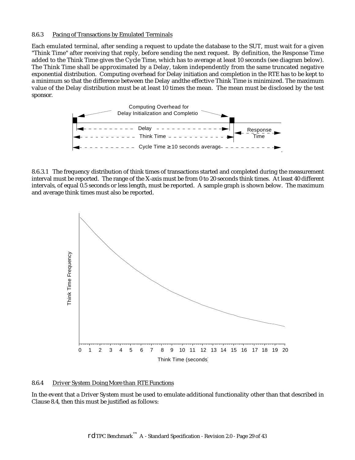#### 8.6.3 Pacing of Transactions by Emulated Terminals

Each emulated terminal, after sending a request to update the database to the SUT, must wait for a given added to the Think Time gives the Cycle Time, which has to average at least 10 seconds (see diagram below). The Think Time shall be approximated by a Delay, taken independently from the same truncated negative exponential distribution. Computing overhead for Delay initiation and completion in the RTE has to be kept to a minimum so that the difference between the Delay and the effective Think Time is minimized. The maximum a minimum so that the difference between the difference between the difference between the difference between  $\frac{1}{\sqrt{2}}$  and  $\frac{1}{\sqrt{2}}$  and  $\frac{1}{\sqrt{2}}$  and  $\frac{1}{\sqrt{2}}$  and  $\frac{1}{\sqrt{2}}$  and  $\frac{1}{\sqrt{2}}$  and  $\frac{1}{\sqrt{$ value of the Delay distribution must be at least 10 times the mean. The mean must be disclosed by the test<br>coopeor sponsor.



8.6.3.1 The frequency distribution of think times of transactions started and completed during the measurement interval must be reported. The range of the X-axis must be from 0 to 20 seconds think times. At least 40 differ intervals, of equal 0.5 seconds or less length, must be reported. A sample graph is shown below. The maximum  $\frac{1}{2}$  seconds of equal or less length, must be reported. A sample graph is shown below. The maximum and average think times must also be reported.



#### 8.6.4 Driver System Doing More than RTE Functions

In the event that a Driver System must be used to emulate additional functionality other than that described in Clause 8.4, then this must be justified as follows: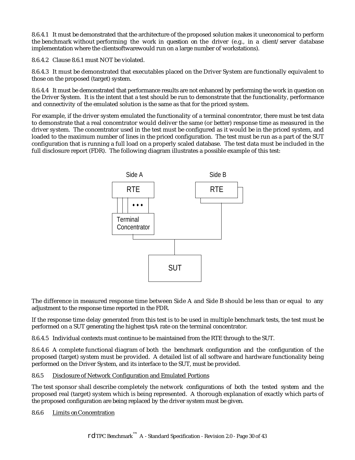8.6.4.1 It must be demonstrated that the architecture of the proposed solution makes it uneconomical to perform<br>the benchmark without performing the work in question on the driver (e.g., in a client/server database the benchmark without performance with  $\alpha$  in question on the driver (e.g., in a client/server database) implementation where the clientsoftwarewould run on a large number of workstations).

8.6.4.2 Clause 8.6.1 must NOT be violated.

8.6.4.3 It must be demonstrated that executables placed on the Driver System are functionally equivalent to those on the proposed (target) system.

8.6.4.4 It must be demonstrated that performance results are not enhanced by performing the work in question on the Driver System. It is the intent that a test should be run to demonstrate that the functionality, performan  $t_{\rm T}$  is the  $t_{\rm T}$  is the intent that a test show  $\alpha$  test shown to demonstrate that for the priced extern and connectivity of the emulated solution is the same as that for the priced system.

For example, if the driver system emulated the functionality of a terminal concentrator, there must be test data<br>to demonstrate that a real concentrator would deliver the same (or better) response time as measured in the driver system. The concentrator used in the test must be configured as it would be in the priced system, and loaded to the maximum number of lines in the priced configuration. The test must be run as a part of the SUT configuration that is running a full load on a properly scaled database. The test data must be included in the configuration that is running a full load on a properly scale database. The test data must be included in the test data must be included in the test data must be included in the test data must be included in the test of t full disclosure report (FDR). The following diagram illustrates a possible example of this test:



The dimension measured response time between Side A and Side B should be less than or equal to any adjustment to the response time reported in the FDR.

If the response time delay generation time delay generation  $\mathbf{r}_i$  is the response test in  $\mathbf{r}_i$  and  $\mathbf{r}_i$  is the used in  $\mathbf{r}_i$  is the used in  $\mathbf{r}_i$  is to be used in  $\mathbf{r}_i$  is the property of  $\mathbf{r}_$ performed on a SUT generating the highest tpsA rate on the terminal concentrator.

8.6.4.5 Individual contexts must continue to be maintained from the RTE through to the SUT.

8.6.4.6 A complete functional diagram of both the benchmark configuration and the configuration of the proposed (target) system must be provided. A detailed list of all software and hardware functionality being proposed (target) system must be provided. A detailed list of all software and hardware functionality being performed on the Driver System, and its interface to the SUT, must be provided.

#### 8.6.5 Disclosure of Network Configuration and Emulated Portions

The test sponsor shall describe completely the network configurations of both the tested system and the proposed real (target) system which is being represented. A thorough explanation of exactly which parts of proposed real (target) system which is being represented. A thorough explanation of exactly which parts of the proposed configuration are being replaced by the driver system must be given.

8.6.6 Limits on Concentration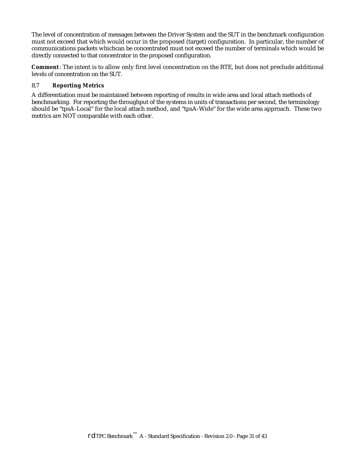The level of concentration of messages between the Driver System and the SUT in the benchmark configuration must not exceed that which would occur in the proposed (target) configuration. In particular, the number of communications packets which can be concentrated must not exceed the number of terminals which would be communications packets which concentrated must not exceed the number of terminals which would be discussed to that concentrated in the number of terminals which would be directly connected to that concentrator in the proposed configuration.

**Comment**: The intent is to allow only first level concentration on the RTE, but does not preclude additional levels of concentration on the SUT.

8.7 **Reporting Metrics** benchmarking. For reporting the throughput of the systems in units of transactions per second, the terminology should be "tpsA-Local" for the local attach method, and "tpsA-Wide" for the wide area approach. These two showld be "tpsA-Local" for the local attach method, and "tpsA-Wide" for the wide area approach. These two metrics area  $\text{MOT}$  comparable with each other metrics are NOT comparable with each other.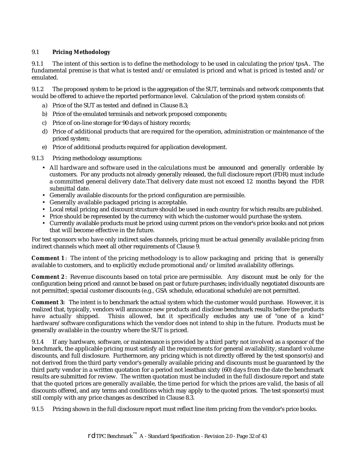#### 9.1 **Pricing Methodology**

 $\frac{1}{2}$ .1.1 The intent of this section is to define the methodology to be used in calculating the price/tpsA. The intention is to the price of the price of the price of the price of the price of the price of the price o fundamental premise is that what is tested and/or emulated is priced and what is priced is tested and/or emulated.

 $\frac{9.12}{200}$ . The proposed system to be priced is the aggregation of the priced system conjects of  $\frac{1}{20}$ would be offered to achieve the reported performance revel. Calculation of the priced system consists of:

- 
- a) Price of the SUT as tested and defined in Clause 8.3;<br>b) Price of the emulated terminals and network proposed components;
- c) Price of on-line storage for 90 days of history records;
- c) Price of on-line storage for 90 days of history records; d) Price of additional products that are required for the operation, administration or maintenance of the priced system;
- e) Price of additional products required for application development.

- 9.1.3 Pricing methodology assumptions:<br>• All hardware and software used in the calculations must be announced and generally orderable by customers. For any products not already generally released, the full disclosure report (FDR) must include commutted general delivery date Thermally released, the removement  $\frac{1}{2}$  mention include the FDR a committed general delivery date.That delivery date must not exceed 12 months beyond the FDR submittal date.<br>• Generally available discounts for the priced configuration are permissible.
	-
	- Generally available packaged pricing is acceptable.
	- Local retail pricing and discount structure should be used in each country for which results are published.
	- Price should be represented by the currency with which the customer would purchase the system.
- Currently available products must be priced using current prices on the vendor's price books and not prices<br>that will become effective in the future that will become effective in the future.<br>For test sponsors who have only indirect sales channels, pricing must be actual generally available pricing from

 $\mathbf{F}$  test sponsors who have only indirect sales channels, pricing  $\mathbf{F}$  and  $\mathbf{F}$  available pricing  $\mathbf{F}$  and  $\mathbf{F}$ indirect channels which meet all other requirements of Clause 9.

**Comment 1** : The intent of the pricing methodology is to allow packaging and pricing that is generally available to customers, and to explicitly exclude promotional and/or limited availability offerings.

**Comment 2**: Revenue discounts based on total price are permissible. Any discount must be only for the configuration being priced and cannot be based on past or future purchases; individually negotiated discounts are configuration being priced and cannot be based on past or future purchases; individually negotiated and  $\alpha$  is  $\alpha$ . not permitted; special customer discounts (e.g., GSA schedule, educational schedule) are not permitted.

**Comment 3:** The intent is to benchmark the actual system which the customer would purchase. However, it is realized that, typically, vendors will announce new products and disclose benchmark results before the products have actually shipped. Thisis allowed, but it specifically excludes any use of "one of a kind" hardware/software configurations which the vendor does not intend to ship in the future. Products must be hardware configurations which the vendor does not intend to ship in the future. Products must be dependent when the  $\text{SIF}$  is priced. generally available in the country where the SUT is priced.

9.1.4 If any hardware, software, or maintenance is provided by a third party not involved as a sponsor of the<br>benchmark, the applicable pricing must satisfy all the requirements for general availability, standard volume discounts, and full disclosure. Furthermore, any pricing which is not directly offered by the test sponsor(s) and not derived from the third party vendor's generally available pricing and discounts must be guaranteed by the<br>third party vendor in a written quotation for a period not lessthan sixty (60) days from the date the benchmark third party vendor in a written quotation for a period not lessthan sixty (60) days from the date the benchmark<br>results are submitted for review. The written quotation must be included in the full disclosure report and sta that the quoted prices are generally available, the time period for which the prices are valid, the basis of all discounts offered, and any terms and conditions which may apply to the quoted prices. The test sponsor(s) must discounts offered, and any terms and conditions which may apply to the quoted prices. The test sponsor(s) must still comply with any price changes as described in Clause 8.3.

9.1.5 Pricing shown in the full disclosure report must reflect line item pricing from the vendor's price books.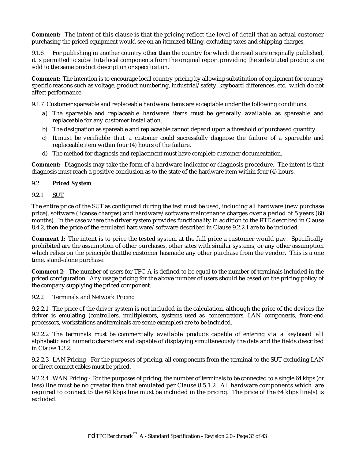**Comment:** The intent of this clause is that the pricing reflect the level of detail that an actual customer purchasing the priced equipment would see on an itemized billing, excluding taxes and shipping charges.

9.1.6 For publishing in another country other than the country for which the results are originally published, it is permitted to substitute local components from the original report providing the substituted products are  $\mathbf{r}$  is permitted to substitute report of  $\mathbf{r}$  in  $\mathbf{r}$  is  $\mathbf{r}$  and  $\mathbf{r}$  and  $\mathbf{r}$  are  $\mathbf{r}$  and  $\mathbf{r}$  and  $\mathbf{r}$  are  $\mathbf{r}$  and  $\mathbf{r}$  and  $\mathbf{r}$  and  $\mathbf{r}$  and  $\mathbf{r}$  and  $\mathbf{r}$ sold to the same product description or specification.

**Comment:** The intention is to encourage local country pricing by allowing substitution of equipment for country specific reasons such as voltage, product numbering, industrial/safety, keyboard differences, etc., which do not affect performance.

- 9.1.7 Customer spareable and replaceable hardware items are acceptable under the following conditions: replaceable for any customer installation.
	- b) The designation as spareable and replaceable cannot depend upon a threshold of purchased quantity.
	- c) It must be verifiable that a customer could successfully diagnose the failure of a spareable and replaceable item within four (4) hours of the failure.
	- replaceable item within four (4) hours of the failure. d) The method for diagnosis and replacement must have complete customer documentation.

**Comment:** Diagnosis may take the form of a hardware indicator or diagnosis procedure. The intent is that diagnosis must reach a positive conclusion as to the state of the hardware item within four (4) hours.

#### 9.2 **Priced System**

## $\frac{801}{201}$

The entire price of the SUT as configured during the test must be used, including all hardware (new purchase price), software (license charges) and hardware/software maintenance charges over a period of 5 years (60 months). In the case where the driver system provides functionality in addition to the RTE described in Clause months). In the case where the driver system provides functionality in addition to the RTE described in Clause 8.4.2, then the price of the emulated hardware/software described in Clause 9.2.2.1 are to be included.

**Comment 1:** The intent is to price the tested system at the full price a customer would pay. Specifically prohibited are the assumption of other purchases, other sites with similar systems, or any other assumption promined are the assumption of other purchases, other purchases, or any other purchases  $\frac{1}{2}$  and  $\frac{1}{2}$  and  $\frac{1}{2}$  and  $\frac{1}{2}$  and  $\frac{1}{2}$  and  $\frac{1}{2}$  and  $\frac{1}{2}$  and  $\frac{1}{2}$  and  $\frac{1}{2}$  and  $\frac{1}{2$ which relies on the principle that the customer hashade any other purchase from the vendor. This is a one time, stand-alone purchase.

**Comment 2:** The number of users for TPC-A is defined to be equal to the number of terminals included in the priced configuration. Any usage pricing for the above number of users should be based on the pricing policy of priced configuration. Any usage pricing for the above number of users should be based on the pricing policy of the company supplying the priced component.

#### 9.2.2 Terminals and Network Pricing

9.2.2.1 The price of the driver system is not included in the calculation, although the price of the devices the driver is emulating (controllers, multiplexors, systems used as concentrators, LAN components, front-end  $\alpha$  is emulating (controllers) multiplexors, systems used as concentrators,  $\alpha$  is components, from end processors, workstations andterminals are some examples) are to be included.

 $\mathcal{L}_{\text{SINR}}$  The communications must be communicated products capable of displaying simultaneously the data and the fields described alphabetic and numeric characters and capable of displaying simultaneously the data and the fields described<br>in Clause 12.2 in Clause 1.3.2.

 $\frac{9.21}{2}$ .3 LAN Pricing - For the purposes of pricing, all components from the terminal to the SUT exclusive LAN or direct connect cables must be priced.

9.2.2.4 WAN Pricing - For the purposes of pricing, the number of terminals to be connected to a single 64 kbps (or less) line must be no greater than that emulated per Clause 8.5.1.2. All hardware components which are  $\epsilon$ less) inc must be no greater than that emulated per Clause security in must be not all hardware components which are  $\epsilon$ required to connect to the 64 kbps line must be included in the pricing. The price of the 64 kbps line(s) is excluded.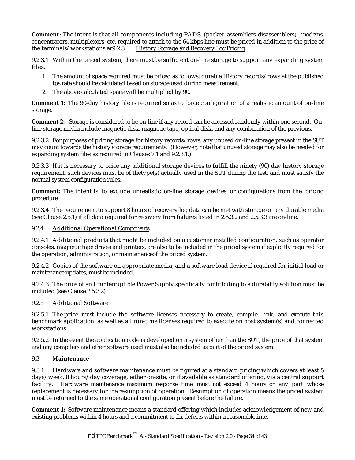**Comment**: The intent is that all components including PADS (packet assemblers-disassemblers), modems, concentrators, multiplexors, etc. required to attach to the 64 kbps line must be priced in addition to the price of concentrators, matters or concentrators, etc. required to attach to the 64 kbps line multiplex line multiplex line multiplex or  $\theta$  at  $\theta$  and  $\theta$  and  $\theta$  and  $\theta$  and  $\theta$  and  $\theta$  and  $\theta$  and  $\theta$  and  $\theta$  and  $\theta$  the terminals/workstations.are and the storage and Recovery Log Pricing

9.2.3.1 Within the priced system, there must be sufficient on-line storage to support any expanding system files.<br>1. The amount of space required must be priced as follows: durable History records/rows at the published

- $\frac{1}{100}$  the amount of space required must be priced as follows: during magnitude must be published in  $\frac{1}{1000}$  the rate chould be calculated has at the published on  $\frac{1}{1000}$  the rate of  $\frac{1}{1000}$  in  $\frac{1}{1$
- tps rate should be calculated based on storage used during measurement. 2. The above calculated space will be multiplied by 90.

**Comment 1:** The 90-day history file is required so as to force configuration of a realistic amount of on-line storage.

**Comment 2:** Storage is considered to be on-line if any record can be accessed randomly within one second. Online storage media include magnetic disk, magnetic tape, optical disk, and any combination of the previous.

9.2.3.2 For purposes of pricing storage for history records/rows, any unused on-line storage present in the SUT  $\frac{m}{\sigma}$  count to the may count towards the history storage required in  $\frac{m}{\sigma}$  and  $\frac{0.221}{2}$ expanding system files as required in Clauses 7.1 and 9.2.3.1.)

 $\frac{1}{2}$ . 2.3.3 If  $\frac{1}{2}$  is price any additional storage devices to fundly used in the SIT during the test and must satisfy the requirement, such devices must be of their pe(s) actually used in the SUT during the test, and must satisfy the<br>normal exclon confidention rules normal system configuration rules.

**Comment:** The intent is to exclude unrealistic on-line storage devices or configurations from the pricing procedure.

 $\frac{9.2}{2}$ .  $\frac{1}{2}$  The requirement to support 8 hours of recovery from follures listed in 2.5.2.2 and 2.5.2.2 ano any durable media (see Clause 2.5.1) if all data required for recovery from failures listed in 2.5.3.3.2 and 2.5.3.3 are on-line.

#### 9.2.4 Additional Operational Components  $924$

9.2.4.1 Additional products that might be included on a customer installed configuration, such as operator consoles, magnetic tape drives and printers, are also to be included in the priced system if explicitly required fo consoles, magnetic tape drives and printers, are also to be included in the priced system if explicitly required for<br>the operation administration or maintenance of the priced system the operation, administration, or maintenanceof the priced system.

9.2.4.2 Copies of the software on appropriate media, and a software load device if required for initial load or maintenance updates, must be included.

9.2.4.3 The price of an Uninterruptible Power Supply specifically contributing to a durability solution must be included (see Clause 2.5.3.2).

#### 9.2.5 Additional Software

 $\frac{1}{2}$ .5.1 The price must include the software licenses necessary to create, compiled the software link, and execute this composite the software link, and execute this composite this composite this composite this compo benchmark application, as well as all run-time licenses required to encodee on host system(s) and connected<br>Workettions workstations.

9.2.5.2 In the event the application code is developed on a system other than the SUT, the price of that system and any compilers and other software used must also be included as part of the priced system.

#### 9.3 **Maintenance**

9.3.1. Hardware and software maintenance must be figured at a standard pricing which covers at least 5<br>days/week, 8 hours/day coverage, either on-site, or if available as standard offering, via a central support facility. Hardware maintenance maximum response time must not exceed 4 hours on any part whose replacement is necessary for the resumption of operation. Resumption of operation means the priced system replacement is necessary for the resumption of operation of operation of  $\alpha$  operation of  $\alpha$  operation of  $\alpha$  operation of  $\alpha$  operation of  $\alpha$  operation of  $\alpha$  operation of  $\alpha$  operation of  $\alpha$  operation of  $\alpha$ must be returned to the same operational configuration present before the failure.

**Comment 1:** Software maintenance means a standard offering which includes acknowledgement of new and existing problems within 4 hours and a commitment to fix defects within a reasonabletime.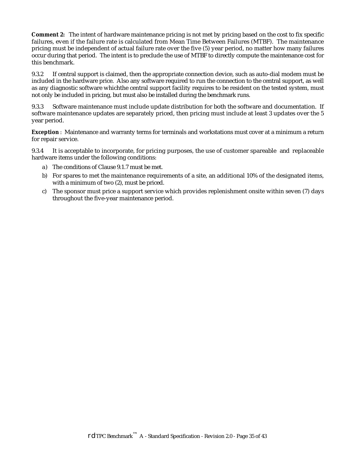**Comment 2:** The intent of hardware maintenance pricing is not met by pricing based on the cost to fix specific<br>failures, even if the failure rate is calculated from Mean Time Between Failures (MTBF). The maintenance pricing must be independent of actual failure rate over the five (5) year period, no matter how many failures pricing must be independent of actual failure rate over the five (5) year period, no matter how many failures occur during that period. The intent is to preclude the use of MTBF to directly compute the maintenance cost for this benchmark.

9.3.2 If central support is claimed, then the appropriate connection device, such as auto-dial modem must be included in the hardware price. Also any software required to run the connection to the central support, as well as any diagnostic software which the central support facility requires to be resident on the tested system, must as any diagnostic software which the central support facility requires to be resident on the tested system, must not only be included in pricing, but must also be installed during the benchmark runs.

 $\frac{1}{2}$  software maintenance update are separately priced then pricing must include at least 3 updates ever the 5 software maintenance updates are separately priced, then pricing must include at least 3 updates over the 5 year period.

**Exception** : Maintenance and warranty terms for terminals and workstations must cover at a minimum a return for repair service.

9.3.4 It is acceptable to incorporate, for pricing purposes, the use of customer spareable and replaceable

- a) The conditions of Clause  $9.1.7$  must be met.
- b) For spares to met the maintenance requirements of a site, an additional 10% of the designated items, with a minimum of two (2), must be priced.
- c) The sponsor must price a support service which provides replenishment onsite within seven  $(7)$  days  $\epsilon$ ) The sponsor must price a support service which provides replendiment onsite within seven (7) days throughout the five-year maintenance period.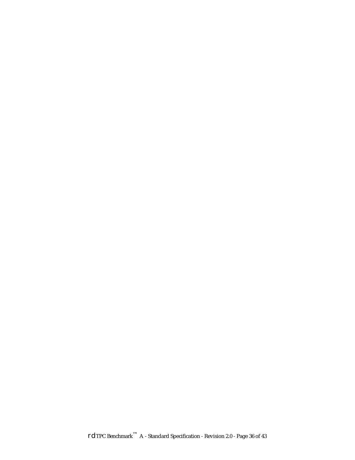rdTPC Benchmark $^{\text{TM}}$  A - Standard Specification - Revision 2.0 - Page 36 of 43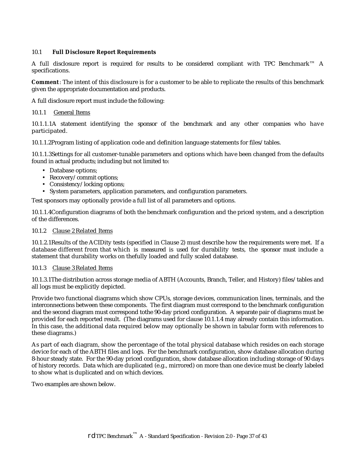#### 10.1 **Full Disclosure Report Requirements**

A full disclosure report is required for results to be considered compliant with TPC Benchmark™ A specifications.

**Comment**: The intent of this disclosure is for a customer to be able to replicate the results of this benchmark given the appropriate documentation and products.

A full disclosure report must include the following:

#### 10.1.1 General Items

10.1.1.1A statement identifying the sponsor of the benchmark and any other companies who have participated.

10.1.1.2Program listing of application code and definition language statements for files/tables.

10.1.1.3Settings for all customer-tunable parameters and options which have been changed from the defaults found in actual products; including but not limited to:

- 
- Database options;<br>• Recovery/commit options;
- Consistency/locking options;
- Consistency/locking options; • System parameters, application parameters, and configuration parameters.

Test sponsors may optionally provide a full list of all parameters and options.

10.1.1.4Configuration diagrams of both the benchmark configuration and the priced system, and a description of the differences.

#### 10.1.2 Clause 2 Related Items

10.1.2.1Results of the ACIDity tests (specified in Clause 2) must describe how the requirements were met. If a database different from the must include the measured is used for durability tests, the sponsor must include a<br>statement that durability works on thefully loaded and fully scaled database. statement that durability works on thefully loaded and fully scaled database.

#### 10.1.3 Clause 3 Related Items

10.1.3.1The distribution across storage media of ABTH (Accounts, Branch, Teller, and History) files/tables and all logs must be explicitly depicted.

Provide two functional diagrams which show CPUs, storage devices, communication lines, terminals, and the<br>interconnections between these components. The first diagram must correspond to the benchmark configuration and the second diagram must correspond tothe 90-day priced configuration. A separate pair of diagrams must be provided for each reported result. (The diagrams used for clause 10.1.1.4 may already contain this information. provided for each reported result. (The diagrams used for clause 10.1.1.4 may already contain this information. In this case, the additional data required below may optionally be shown in tabular form with references to these diagrams.)

As part of each diagram, show the percentage of the total physical database which resides on each storage<br>device for each of the ABTH files and logs. For the benchmark configuration, show database allocation during 8-hour steady state. For the 90-day priced configuration, show database allocation including storage of 90 days of history records. Data which are duplicated (e.g., mirrored) on more than one device must be clearly labeled of history records. Data which are duplicated (e.g., mirrored) on more than one device must be clearly labeled to show what is duplicated and on which devices.

Two examples are shown below.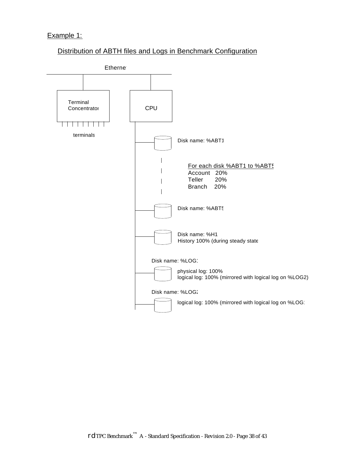#### Example 1:

### Distribution of ABTH files and Logs in Benchmark Configuration

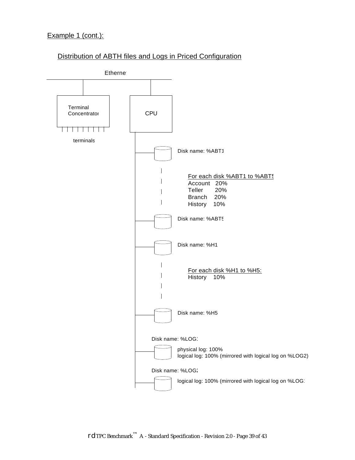#### Example 1 (cont.):

#### Distribution of ABTH files and Logs in Priced Configuration

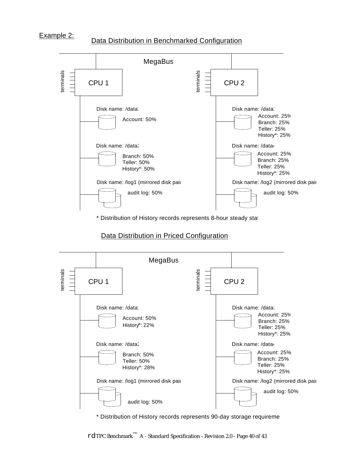Example 2:

Data Distribution in Benchmarked Configuration



\* Distribution of History records represents 8-hour steady stat

Data Distribution in Priced Configuration



\* Distribution of History records represents 90-day storage requireme

rdTPC Benchmark<sup>™</sup> A - Standard Specification - Revision 2.0 - Page 40 of 43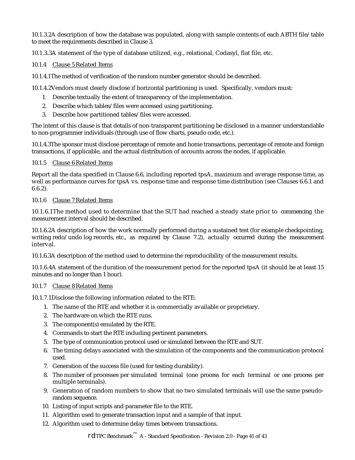10.1.3.2A description of how the database was populated, along with sample contents of each ABTH file/table to meet the requirements described in Clause 3.

10.1.3.3A statement of the type of database utilized, e.g., relational, Codasyl, flat file, etc.

#### 10.1.4 Clause 5 Related Items

10.1.4.1The method of verification of the random number generator should be described.

10.1.4.2Vendors must clearly disclose if horizontal partitioning is used. Specifically, vendors must:

- 
- 2. Describe which tables/files were accessed using partitioning. 2. Describe which tables/files were accessed using partitioning.
- 3. Describe how partitioned tables/files were accessed.

The intent of this clause is that details of non-transparent partitioning be disclosed in a manner understandable to non-programmer individuals (through use of flow charts, pseudo code, etc.).

 $10.11$ , 10.1.1.3The sponsor must disclose percentage of remote and  $10.1$  and  $10.1$  and  $10.1$  and  $10.1$  and  $10.1$  and  $10.1$  and  $10.1$  and  $10.1$  and  $10.1$  and  $10.1$  and  $10.1$  and  $10.1$  and  $10.1$  and  $10.1$  and transactions, if applicable, and the actual distribution of accounts across the nodes, if applicable.

#### 10.1.5 Clause 6 Related Items

 $R_{\text{e}}$  all the data specified in Clause 6.6, including reported tps. maximum and average response time, as  $R_{\text{e}}$  and  $R_{\text{e}}$  and  $R_{\text{e}}$  and  $R_{\text{e}}$  and  $R_{\text{e}}$  and  $R_{\text{e}}$  and  $R_{\text{e}}$  and  $R_{\text{e}}$  and were as performance carves for tpsA vs. response time and response time distribution (see Clauses 6.6.1)  $6.6.2$ ).

#### 10.1.6 Clause 7 Related Items

10.1.1.1The method used to determine that the SUT had reached a steady state prior to commencing the measurement interval should be described.

 $10.18$  description of how the work normally performed during a sustained test (for  $\frac{1}{2}$ ) and  $\frac{1}{2}$  and  $\frac{1}{2}$  and  $\frac{1}{2}$  and  $\frac{1}{2}$  and  $\frac{1}{2}$  and  $\frac{1}{2}$  and  $\frac{1}{2}$  and  $\frac{1}{2}$  and  $\frac{1}{2}$  writing redo/undo log records, etc., as required by Clause 7.2), actually occurred during the measurement interval.

10.1.6.3A description of the method used to determine the reproducibility of the measurement results.

10.1.6.4A statement of the duration of the measurement period for the reported tpsA (it should be at least 15 minutes and no longer than 1 hour).

#### 10.1.7 Clause 8 Related Items

- 10.1.1.1D isclose the following information related to the RTE: 1. The name of the RTE and whether it is commercially available or proprietary.
	-
	- 2. The hardware on which the RTE runs.<br>3. The component(s) emulated by the RTE.
	- 4. Commands to start the RTE including pertinent parameters.
	- 5. The type of communication protocol used or simulated between the RTE and SUT.
	- 5. The type of communication protocol used or simulated between the RTE and SUT. 6. The timing delays associated with the simulation of the components and the communication protocol used.<br>
	7. Generation of the success file (used for testing durability).
	-
	- 7. Generation of the success file (used for testing durability). 8. The number of processes per simulated terminal (one process for each terminal or one process per multiple terminals).
	- 9. Generation of random numbers to show that no two simulated terminals will use the same pseudorandom sequence.<br>10. Listing of input scripts and parameter file to the RTE.
	-
	- 11. Algorithm used to generate transaction input and a sample of that input.
	- 11. Algorithm used to generate transaction input and a sample of that input. 12. Algorithm used to determine delay times between transactions.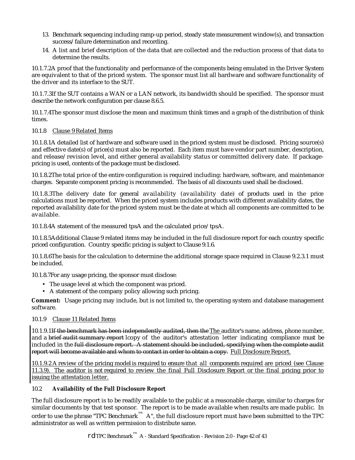- 13. Benchmark sequencing including ramp-up period, steady state measurement window(s), and transaction
- success/failure determination and recording. 14. The data that are collected and the reduction process of that data to determine the reduction process of that data to determine the results.

10.1.7.2A proof that the functionality and performance of the components being emulated in the Driver System<br>are equivalent to that of the priced system. The sponsor must list all hardware and software functionality of the driver and its interface to the SUT the driver and its interface to the SUT.

10.1.1.31.3If  $\alpha$  Decret contains a WAN or a LAN network, its bandwidth should be specified. The sponsor must describe the network configuration per clause 8.6.5.

10.1.7.4The sponsor must disclose the mean and maximum think times and a graph of the distribution of think times.

#### 10.1.8 Clause 9 Related Items

10.1.8.1A detailed list of hardware and software used in the priced system must be disclosed. Pricing source(s) and release/revision level, and either general availability status or committed delivery date. If packageand receiver revision level, and either general availability status or committed delivery date. If package-<br>michael status or contants of the nockage-must be disclosed pricing is used, contents of the package must be disclosed.

 $\frac{1}{1000}$ . Suppose of the entire configuration is recommended. The basis of all discounts used shall be disclosed charges. Separate component pricing is recommended. The basis of all discounts used shall be disclosed.

10.1.8.3The delivery date for general availability (availability date) of products used in the price<br>calculations must be reported. When the priced system includes products with different availability dates, the calculations must be reported. When the priced system includes products with different availability dates, the priced system must be the date at which all components are committed to be reported availability date for the priced system must be the date at which all components are committed to be available.

10.1.8.4A statement of the measured tpsA and the calculated price/tpsA.

 $10.10$ . Be included items  $10.000$  related items may be included in the full disclosure report for each country specific priced configuration. Country specific pricing is subject to Clause 9.1.6.

10.1.8.6The basis for the calculation to determine the additional storage space required in Clause 9.2.3.1 must<br>be included. be included.

- 10.1.8.7For any usage pricing, the sponsor must disclose:<br>• The usage level at which the component was priced.
	- A statement of the company policy allowing such pricing. • A statement of the company policy allowing such pricing.

**Comment:** Usage pricing may include, but is not limited to, the operating system and database management software.

#### 10.1.9 Clause 11 Related Items

10.1.9.1If the benchmark has been independently audited, then the The auditor's name, address, phone number, and a <del>brief audit summary report</del> lcopy of the auditor's attestation letter indicating compliance must be<br>included in the <del>full disclosure report. A statement should be included, specifying when the complete audi</del> included in the full disclosure report. A statement showled be included, specifying when the complete audit report will become available and whom to contact in order to obtain a copy. <u>Full Disclosure Report.</u>

11.2.0). The auditor is not required to review the final full Disclesure Repart or the final pricing prior to 11.000. The auditor is not required to review the final Full Disclosure Report of the final prior to it is not report to issuing the attestation letter.

#### 10.2 **Availability of the Full Disclosure Report**

The full disclosure report is to be readily available to the public at a reasonable charge, similar to charges for similar documents by that test sponsor. The report is to be made available when results are made public. In  $s$  initial documents by that test sponsor. The report is to be made available when results are made public. In  $\alpha$ order to use the phrase "TPC benchmark" A", the full disclosure report must have been submitted to the TPC<br>administrator as well as written permission to distribute same administrator as well as written permission to distribute same.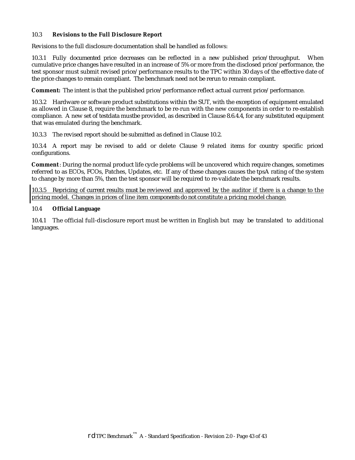#### 10.3 **Revisions to the Full Disclosure Report**

Revisions to the full disclosure documentation shall be handled as follows:

10.3.1 Fully documented price decreases can be reflected in a new published price/throughput. When cumulative price changes have resulted in an increase of 5% or more from the disclosed price/performance, the test sponsor must submit revised price/performance results to the TPC within 30 days of the effective date of  $t_{\text{obs}}$  sponsor must south revised price/performance results to the TPC within  $\sigma$  and  $\sigma$  and  $\sigma$  and  $\sigma$  and  $\sigma$  and  $\sigma$  and  $\sigma$  and  $\sigma$  and  $\sigma$  and  $\sigma$  and  $\sigma$  and  $\sigma$  and  $\sigma$  and  $\sigma$  and  $\sigma$  and  $\sigma$  the price changes to remain compliant. The benchmark need not be rerun to remain compliant.

**Comment:** The intent is that the published price/performance reflect actual current price/performance.

10.3.2 Hardware or software product substitutions within the SUT, with the exception of equipment emulated as allowed in Clause 8, require the benchmark to be re-run with the new components in order to re-establish compliance. A new set of testdata mustbe provided, as described in Clause 8.6.4.4, for any substituted equipment complete of test of test of test and must be provided, as described in Clause 8.6.4.4, for any substituted equipment that was emulated during the benchmark.

10.3.3 The revised report should be submitted as defined in Clause 10.2.

10.3.4 A report may be revised to add or delete Clause 9 related items for country specific priced configurations.

**Comment**: During the normal product life cycle problems will be uncovered which require changes, sometimes referred to as ECOs, FCOs, Patches, Updates, etc. If any of these changes causes the tpsA rating of the system referred to as  $E \sim 5$ ,  $\frac{1}{2}$  and  $\frac{1}{2}$  and  $\frac{1}{2}$  and  $\frac{1}{2}$  and  $\frac{1}{2}$  ratios of the system of the system of the system of the system of the system of the system of the system of the system of the syste to change by more than 5%, then the test sponsor will be required to re-validate the benchmark results.

 10.3.5 Repricing of current results must be reviewed and approved by the auditor if there is a change to the pricing model. Changes in prices of line item components do not constitute a pricing model change.

#### 10.4 **Official Language**

10.4.1 The official full-disclosure report must be written in English but may be translated to additional languages.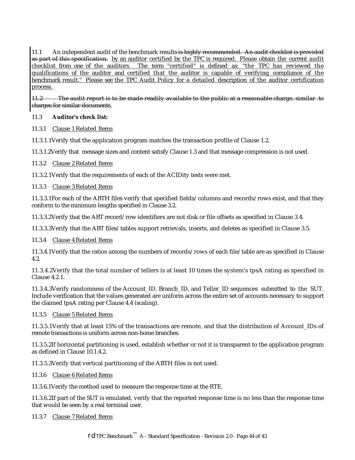11.1 An independent audit of the benchmark results is highly recommended. An audit checklist is provided as part of this specification. by an auditor certified by the TPC is required. Please obtain the current audit checklist from one of the auditors. The term "certified" is defined as: "the TPC has reviewed the qualifications of the auditor and certified that the auditor is capable of verifying compliance of the  $\frac{1}{2}$  and certifications of the  $\frac{1}{2}$   $\frac{1}{2}$   $\frac{1}{2}$   $\frac{1}{2}$   $\frac{1}{2}$   $\frac{1}{2}$   $\frac{1}{2}$   $\frac{1}{2}$   $\frac{1}{2}$   $\frac{1}{2}$   $\frac{1}{2}$   $\frac{1}{2}$   $\frac{1}{2}$   $\frac{1}{2}$   $\frac{1}{2}$   $\frac{1}{2}$   $\frac{1}{2}$   $\frac{1}{2}$   $\frac{1$ benchmark result." Please see the TPC Audit Policy for a detailed description of the auditor certification process.

11.2 The audit report is to be made readily available to the public at a reasonable charge, similar to charges for similar documents.

#### 11.3 **Auditor's check list:**

- 11.3.1 Clause 1 Related Items
- 11.3.1.1Verify that the application program matches the transaction profile of Clause 1.2.
- 11.3.1.2Verify that message sizes and content satisfy Clause 1.3 and that message compression is not used.

#### 11.3.2 Clause 2 Related Items

11.3.2.1Verify that the requirements of each of the ACIDity tests were met.

#### 11.3.3 Clause 3 Related Items

11.3.3.1For each of the ABTH files verify that specified fields/columns and records/rows exist, and that they comone to the minimum lengths specified in Clause 3.2.

11.3.3.2Verify that the ABT record/row identifiers are not disk or file offsets as specified in Clause 3.4.

11.3.3.3Verify that the ABT files/tables support retrievals, inserts, and deletes as specified in Clause 3.5.

#### 11.3.4 Clause 4 Related Items

11.3.4.1Verify that the ratios among the numbers of records/rows of each file/table are as specified in Clause 4.2.

11.3.4.2Verify that the total number of tellers is at least 10 times the system's tpsA rating as specified in  $C<sub>1</sub>$  $C<sub>2</sub>$  $C<sub>3</sub>$  $C<sub>4</sub>$ 

11.3.4.3Verify randomness of the Account\_ID, Branch\_ID, and Teller\_ID sequences submitted to the SUT. Include verification that the values generated are uniform across the entire set of accounts necessary to support the claimed tpsA rating per Clause 4.4 (scaling).

#### 11.3.5 Clause 5 Related Items

11.3.5.1Verify that at least 15% of the transactions are remote, and that the distribution of Account\_IDs of remote transactions is uniform across non-home branches.

11.3.5.2If horizontal partitioning is used, establish whether or not it is transparent to the application program<br>as defined in Clause 10.1.4.2. as defined in Clause 10.1.4.2.

11.3.5.3Verify that vertical partitioning of the ABTH files is not used.

#### 11.3.6 Clause 6 Related Items

11.3.6.1Verify the method used to measure the response time at the RTE.

 $11.38.91$  is emulated, verify that the reported response time is no less than the response time that would be seen by a real terminal user.

#### 11.3.7 Clause 7 Related Items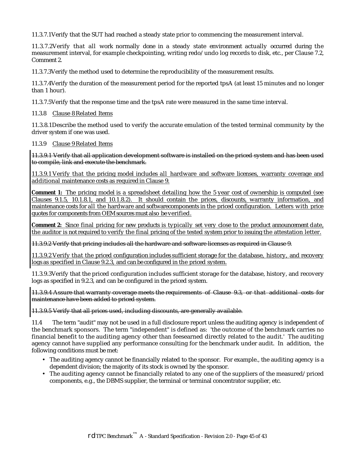11.3.7.1Verify that the SUT had reached a steady state prior to commencing the measurement interval.

 $11.38777$  and  $11.38777$  that all work normally done in a steady state environment actually occurred to disk at a particle of  $2.2$ measurement interval, for example checkpointing, writing redo/undo log records to disk, etc., per Clause 7.2,  $\frac{1}{2}$ 

11.3.7.3Verify the method used to determine the reproducibility of the measurement results.

11.3.7.4Verify the duration of the measurement period for the reported tpsA (at least 15 minutes and no longer than 1 hour).

11.3.7.5Verify that the response time and the tpsA rate were measured in the same time interval.

#### 11.3.8 Clause 8 Related Items

11.3.3.1Describe the method used to verify the accurate emulation of the tested terminal community by the driver system if one was used.

#### 11.3.9 Clause 9 Related Items

11.3.9.1 Verify that all application development software is installed on the priced system and has been used<br>to compile link and avecute the benchmark to compile, link and execute the benchmark.

 $\frac{1}{2}$ . 1.3.9.1  $\frac{1}{2}$  model includes all hardware and software and software licenses, warranty coverage and  $\frac{1}{2}$  defined in  $\frac{1}{2}$  model includes  $\frac{1}{2}$ additional maintenance costs as re quired in Clause 9.

**Comment 1:** The pricing model is a spreadsheet detailing how the 5 year cost of ownership is computed (see Clauses 9.1.5, 10.1.8.1, and 10.1.8.2). It should contain the prices, discounts, warranty information, and maintenance costs for all the hardware and softwarecomponents in the priced configuration. Letters with price maintenance costs for all the hardware and software and software and software and software and software and software and software and software and software and software and software and software and software and software a quotes for components from OEM sources must also be verified.

 **Comment 2:** Since final pricing for new products is typically set very close to the product announcement date, the auditor is not required to verify the final pricing of the tested system prior to issuing the attestation letter.

11.3.9.2 Verify that pricing includes all the hardware and software licenses as required in Clause 9.

 $\frac{11.30 \text{ N}}{2 \text{ s}}$  includes the price of  $\frac{1}{2}$  and range for the database for the database,  $\frac{1}{2}$  and recovery, and recovery logs as specified in Clause 9.2.3, and can be configured in the priced system.

11.3.9.3Verify that the priced configuration includes sufficient storage for the database, history, and recovery logs as specified in 9.2.3, and can be configured in the priced system.

11.3.9.4 Assure that warranty coverage meets the requirements of Clause 9.3, or that additional costs for maintenance have been added to priced system.

11.3.9.5 Verify that all prices used, including discounts, are generally available.

In the term "audit" may not be used in a full disclosure report unless the auditing agency is independent of<br>the benchmark sponsors. The term "independent" is defined as: 'the outcome of the benchmark carries no<br>financial financial benefit to the auditing agency other than feesearned directly related to the audit.' The auditing agency cannot have supplied any performance consulting for the benchmark under audit. In addition, the following conditions must be met:<br>• The auditing agency cannot be financially related to the sponsor. For example., the auditing agency is a

- dependent division; the majority of its stock is owned by the sponsor.
- The auditing agency cannot be financially related to any one of the suppliers of the measured/priced  $\epsilon$  and any  $\epsilon$  and  $\epsilon$  cannot be financial canonical canonical control to any one of the measured/priced components  $\alpha$  of the DBMS cumplier the terminal concentrator cumplier atc. components, e.g., the DBMS supplier, the terminal or terminal concentrator supplier, etc.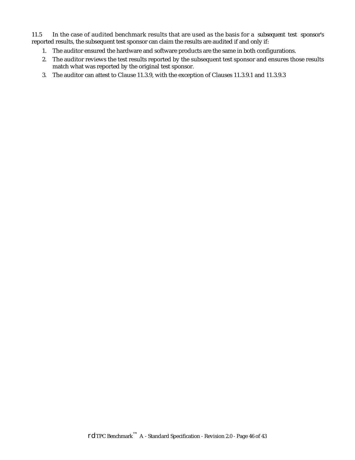11.5 In the case of audited benchmark results that are used as the basis for a subsequent test sponsor's reported results, the subsequent test sponsor can claim the results are audited if and only if:

- 1. The auditor ensured the hardware and software products are the same in both configurations.
- 2. The auditor reviews the test results reported by the subsequent test sponsor and ensures those results match what was reported by the original test sponsor.
- match what was reported by the original test sponsor. 3. The auditor can attest to Clause 11.3.9, with the exception of Clauses 11.3.9.3.1 and 11.3.9.1 and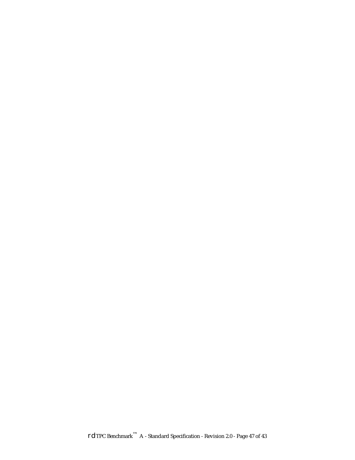rdTPC Benchmark $^{\text{TM}}$  A - Standard Specification - Revision 2.0 - Page 47 of 43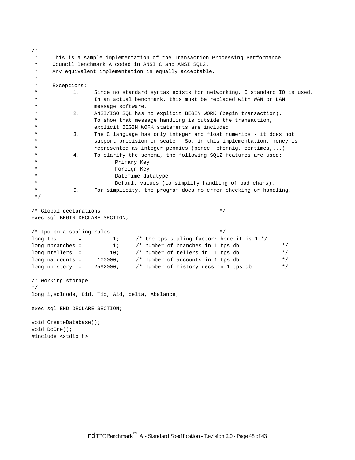/\* \* This is a sample implementation of the Transaction Processing Performance Council Benchmark A coded in ANSI C and ANSI SQL2. \* Any equivalent implementation is equally acceptable. \* \* Exceptions: \* 1. Since no standard syntax exists for networking, C standard IO is used. \* In an actual benchmark, this must be replaced with WAN or LAN \* message software. \* 2. ANSI/ISO SQL has no explicit BEGIN WORK (begin transaction). \* To show that message handling is outside the transaction, \* explicit BEGIN WORK statements are included \* 3. The C language has only integer and float numerics - it does not \* support precision or scale. So, in this implementation, money is \* represented as integer pennies (pence, pfennig, centimes,...) \* 4. To clarify the schema, the following SQL2 features are used: \* Primary Key \* Foreign Key \* DateTime datatype \* Default values (to simplify handling of pad chars). \* 5. For simplicity, the program does no error checking or handling. \*/ /\* Global declarations \*/ exec sql BEGIN DECLARE SECTION;  $\frac{1}{2}$  /\* tpc bm a scaling rules  $\frac{1}{2}$  /\* long tps  $=$  1;  $/*$  the tps scaling factor: here it is 1  $*/$ long nbranches =  $1;$  /\* number of branches in 1 tps db \*/ long ntellers = 10;  $\prime$ \* number of tellers in 1 tps db \*/ long naccounts =  $100000$ ;  $\prime$  \* number of accounts in 1 tps db \*/ long nhistory =  $2592000$ ; /\* number of history recs in 1 tps db \*/ /\* working storage \*/ long i,sqlcode, Bid, Tid, Aid, delta, Abalance; exec sql END DECLARE SECTION; void CreateDatabase(); void DoOne(); #include <stdio.h>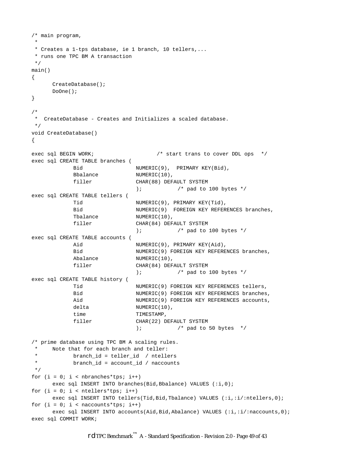```
/* main program,
 *
 * Creates a 1-tps database, ie 1 branch, 10 tellers,...
 * runs one TPC BM A transaction
 */
main()
{
     CreateDatabase();
     DoOne();
}
/*
 * CreateDatabase - Creates and Initializes a scaled database.
 */
void CreateDatabase()
{
exec sql BEGIN WORK; \overline{\hspace{1cm}} /* start trans to cover DDL ops */
exec sql CREATE TABLE branches (
           Bid NUMERIC(9), PRIMARY KEY(Bid),
           Bbalance NUMERIC(10),
           filler CHAR(88) DEFAULT SYSTEM
                            ); /* pad to 100 bytes */
exec sql CREATE TABLE tellers (
           Tid NUMERIC(9), PRIMARY KEY(Tid),
           Bid NUMERIC(9) FOREIGN KEY REFERENCES branches,
           Tbalance NUMERIC(10),
           filler CHAR(84) DEFAULT SYSTEM
                            ); /* pad to 100 bytes */
exec sql CREATE TABLE accounts (
           Aid NUMERIC(9), PRIMARY KEY(Aid),
           Bid NUMERIC(9) FOREIGN KEY REFERENCES branches,
           Abalance NUMERIC(10),
           filler CHAR(84) DEFAULT SYSTEM
                            ); /* pad to 100 bytes */exec sql CREATE TABLE history (
           Tid NUMERIC(9) FOREIGN KEY REFERENCES tellers,
           Bid NUMERIC(9) FOREIGN KEY REFERENCES branches,
           Aid MUMERIC(9) FOREIGN KEY REFERENCES accounts,
           delta NUMERIC(10),
           time TIMESTAMP,
           filler CHAR(22) DEFAULT SYSTEM
                            ); /* pad to 50 bytes *//* prime database using TPC BM A scaling rules.
    Note that for each branch and teller:
 * branch_id = teller_id / ntellers
 * branch_id = account_id / naccounts
 */
for (i = 0; i <i>n</i> branches<sup>*</sup>tps; i++)exec sql INSERT INTO branches(Bid,Bbalance) VALUES (:i,0);
for (i = 0; i < ntellers*tps; i++)exec sql INSERT INTO tellers(Tid,Bid,Tbalance) VALUES (:i,:i/:ntellers,0);
for (i = 0; i < n accounts*tps; i++)exec sql INSERT INTO accounts(Aid,Bid,Abalance) VALUES (:i,:i/:naccounts,0);
exec sql COMMIT WORK;
```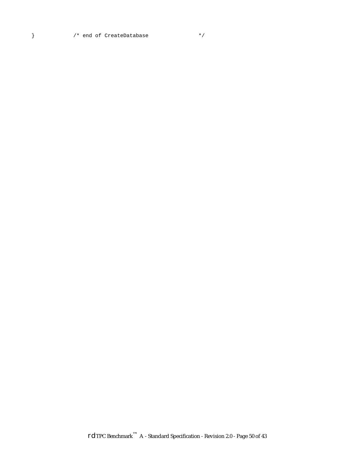}  $/*$  end of CreateDatabase \*/  $*$